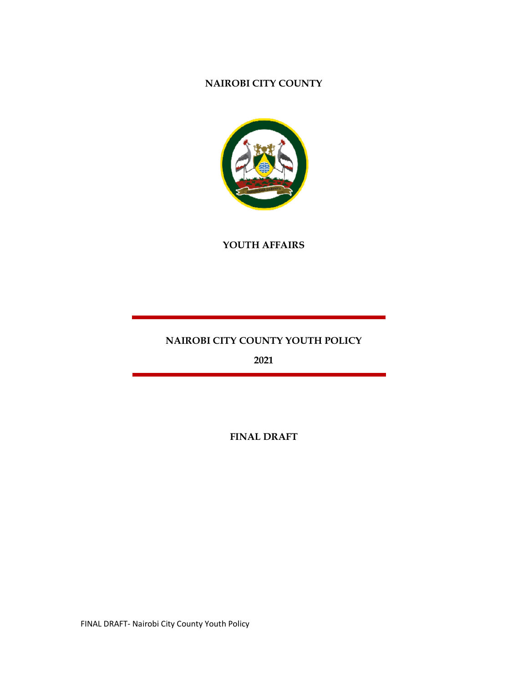# NAIROBI CITY COUNTY



YOUTH AFFAIRS

# NAIROBI CITY COUNTY YOUTH POLICY

2021

FINAL DRAFT

FINAL DRAFT- Nairobi City County Youth Policy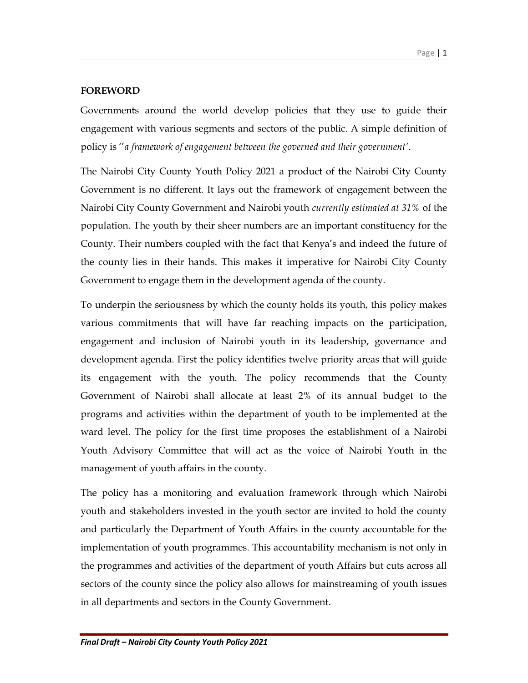### FOREWORD

Governments around the world develop policies that they use to guide their engagement with various segments and sectors of the public. A simple definition of policy is ''a framework of engagement between the governed and their government'.

The Nairobi City County Youth Policy 2021 a product of the Nairobi City County Government is no different. It lays out the framework of engagement between the Nairobi City County Government and Nairobi youth currently estimated at 31% of the population. The youth by their sheer numbers are an important constituency for the County. Their numbers coupled with the fact that Kenya's and indeed the future of the county lies in their hands. This makes it imperative for Nairobi City County Government to engage them in the development agenda of the county.

To underpin the seriousness by which the county holds its youth, this policy makes various commitments that will have far reaching impacts on the participation, engagement and inclusion of Nairobi youth in its leadership, governance and development agenda. First the policy identifies twelve priority areas that will guide its engagement with the youth. The policy recommends that the County Government of Nairobi shall allocate at least 2% of its annual budget to the programs and activities within the department of youth to be implemented at the ward level. The policy for the first time proposes the establishment of a Nairobi Youth Advisory Committee that will act as the voice of Nairobi Youth in the management of youth affairs in the county.

The policy has a monitoring and evaluation framework through which Nairobi youth and stakeholders invested in the youth sector are invited to hold the county and particularly the Department of Youth Affairs in the county accountable for the implementation of youth programmes. This accountability mechanism is not only in the programmes and activities of the department of youth Affairs but cuts across all sectors of the county since the policy also allows for mainstreaming of youth issues in all departments and sectors in the County Government.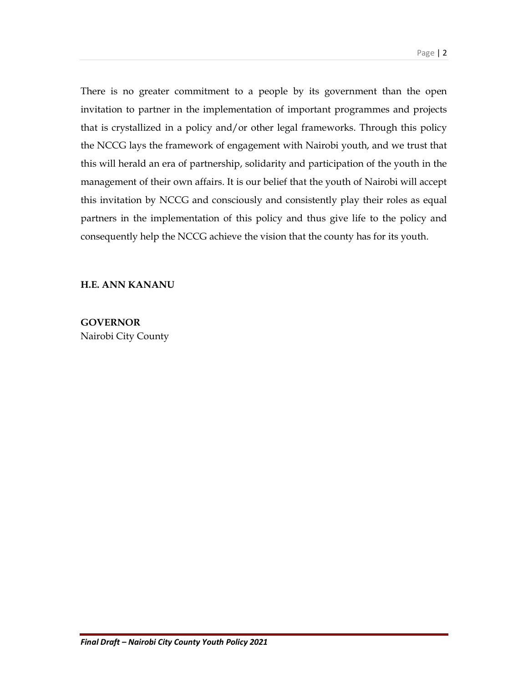There is no greater commitment to a people by its government than the open invitation to partner in the implementation of important programmes and projects that is crystallized in a policy and/or other legal frameworks. Through this policy the NCCG lays the framework of engagement with Nairobi youth, and we trust that this will herald an era of partnership, solidarity and participation of the youth in the management of their own affairs. It is our belief that the youth of Nairobi will accept this invitation by NCCG and consciously and consistently play their roles as equal partners in the implementation of this policy and thus give life to the policy and consequently help the NCCG achieve the vision that the county has for its youth.

#### H.E. ANN KANANU

**GOVERNOR** Nairobi City County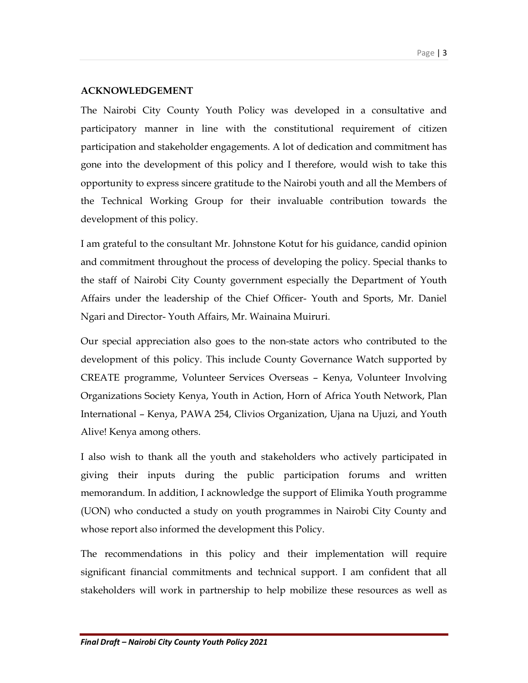## ACKNOWLEDGEMENT

The Nairobi City County Youth Policy was developed in a consultative and participatory manner in line with the constitutional requirement of citizen participation and stakeholder engagements. A lot of dedication and commitment has gone into the development of this policy and I therefore, would wish to take this opportunity to express sincere gratitude to the Nairobi youth and all the Members of the Technical Working Group for their invaluable contribution towards the development of this policy.

I am grateful to the consultant Mr. Johnstone Kotut for his guidance, candid opinion and commitment throughout the process of developing the policy. Special thanks to the staff of Nairobi City County government especially the Department of Youth Affairs under the leadership of the Chief Officer- Youth and Sports, Mr. Daniel Ngari and Director- Youth Affairs, Mr. Wainaina Muiruri.

Our special appreciation also goes to the non-state actors who contributed to the development of this policy. This include County Governance Watch supported by CREATE programme, Volunteer Services Overseas – Kenya, Volunteer Involving Organizations Society Kenya, Youth in Action, Horn of Africa Youth Network, Plan International – Kenya, PAWA 254, Clivios Organization, Ujana na Ujuzi, and Youth Alive! Kenya among others.

I also wish to thank all the youth and stakeholders who actively participated in giving their inputs during the public participation forums and written memorandum. In addition, I acknowledge the support of Elimika Youth programme (UON) who conducted a study on youth programmes in Nairobi City County and whose report also informed the development this Policy.

The recommendations in this policy and their implementation will require significant financial commitments and technical support. I am confident that all stakeholders will work in partnership to help mobilize these resources as well as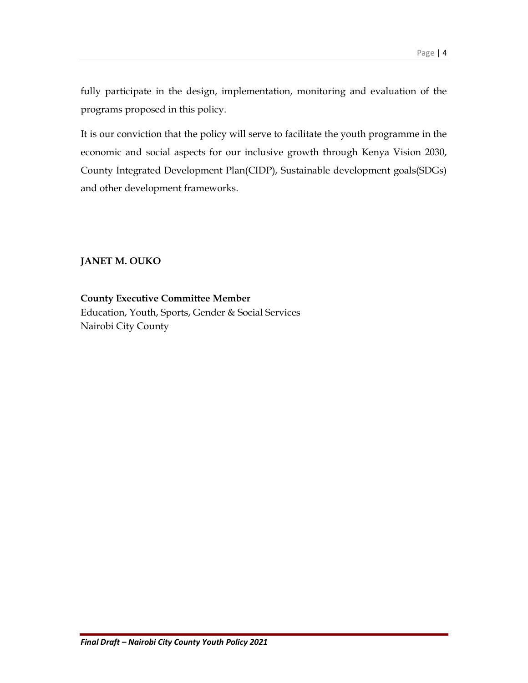fully participate in the design, implementation, monitoring and evaluation of the programs proposed in this policy.

It is our conviction that the policy will serve to facilitate the youth programme in the economic and social aspects for our inclusive growth through Kenya Vision 2030, County Integrated Development Plan(CIDP), Sustainable development goals(SDGs) and other development frameworks.

# JANET M. OUKO

County Executive Committee Member Education, Youth, Sports, Gender & Social Services Nairobi City County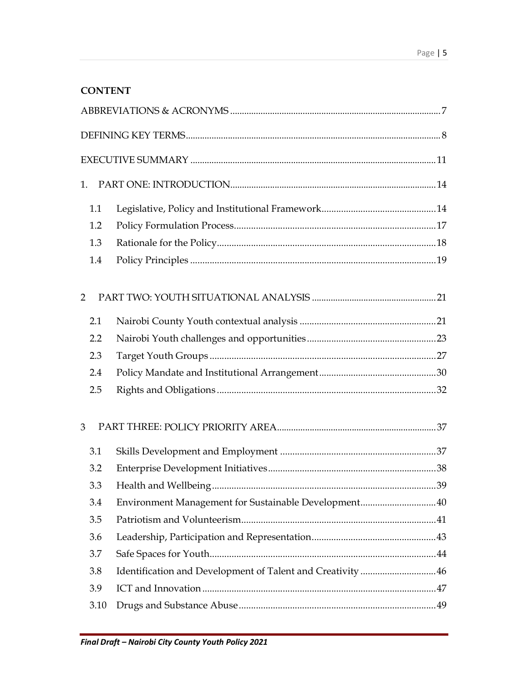# **CONTENT**

| 1.   |                                                            |  |
|------|------------------------------------------------------------|--|
| 1.1  |                                                            |  |
| 1.2  |                                                            |  |
| 1.3  |                                                            |  |
| 1.4  |                                                            |  |
| 2    |                                                            |  |
| 2.1  |                                                            |  |
| 2.2  |                                                            |  |
| 2.3  |                                                            |  |
| 2.4  |                                                            |  |
| 2.5  |                                                            |  |
| 3    |                                                            |  |
| 3.1  |                                                            |  |
| 3.2  |                                                            |  |
| 3.3  |                                                            |  |
| 3.4  | Environment Management for Sustainable Development40       |  |
| 3.5  |                                                            |  |
| 3.6  |                                                            |  |
| 3.7  |                                                            |  |
| 3.8  | Identification and Development of Talent and Creativity 46 |  |
| 3.9  |                                                            |  |
| 3.10 |                                                            |  |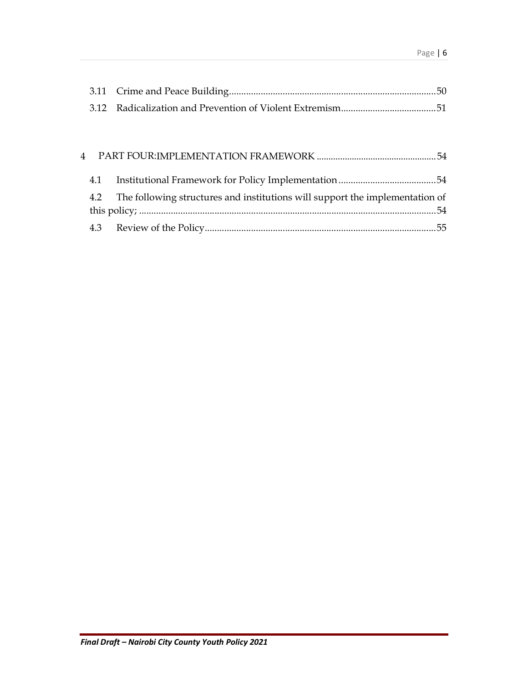| 4.1 |                                                                                  |  |
|-----|----------------------------------------------------------------------------------|--|
|     | 4.2 The following structures and institutions will support the implementation of |  |
|     |                                                                                  |  |
|     |                                                                                  |  |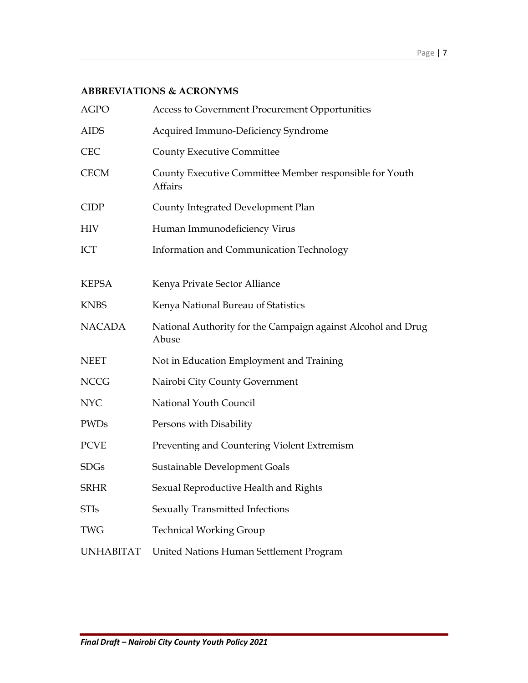## ABBREVIATIONS & ACRONYMS

| <b>AGPO</b>      | Access to Government Procurement Opportunities                            |
|------------------|---------------------------------------------------------------------------|
| <b>AIDS</b>      | Acquired Immuno-Deficiency Syndrome                                       |
| <b>CEC</b>       | <b>County Executive Committee</b>                                         |
| <b>CECM</b>      | County Executive Committee Member responsible for Youth<br><b>Affairs</b> |
| <b>CIDP</b>      | County Integrated Development Plan                                        |
| <b>HIV</b>       | Human Immunodeficiency Virus                                              |
| ICT              | Information and Communication Technology                                  |
|                  |                                                                           |
| <b>KEPSA</b>     | Kenya Private Sector Alliance                                             |
| <b>KNBS</b>      | Kenya National Bureau of Statistics                                       |
| <b>NACADA</b>    | National Authority for the Campaign against Alcohol and Drug<br>Abuse     |
| <b>NEET</b>      | Not in Education Employment and Training                                  |
| <b>NCCG</b>      | Nairobi City County Government                                            |
| <b>NYC</b>       | National Youth Council                                                    |
| <b>PWDs</b>      | Persons with Disability                                                   |
| <b>PCVE</b>      | Preventing and Countering Violent Extremism                               |
| <b>SDGs</b>      | Sustainable Development Goals                                             |
| <b>SRHR</b>      | Sexual Reproductive Health and Rights                                     |
| <b>STIs</b>      | Sexually Transmitted Infections                                           |
| <b>TWG</b>       | <b>Technical Working Group</b>                                            |
| <b>UNHABITAT</b> | United Nations Human Settlement Program                                   |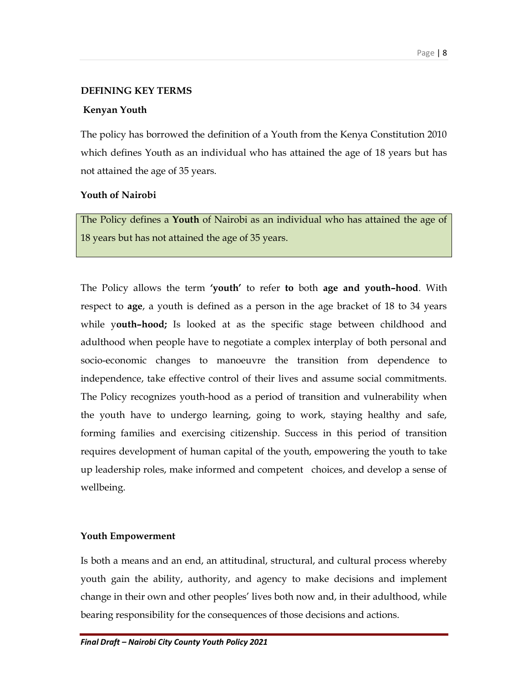#### DEFINING KEY TERMS

#### Kenyan Youth

The policy has borrowed the definition of a Youth from the Kenya Constitution 2010 which defines Youth as an individual who has attained the age of 18 years but has not attained the age of 35 years.

#### Youth of Nairobi

The Policy defines a Youth of Nairobi as an individual who has attained the age of 18 years but has not attained the age of 35 years.

The Policy allows the term 'youth' to refer to both age and youth-hood. With respect to age, a youth is defined as a person in the age bracket of 18 to 34 years while youth-hood; Is looked at as the specific stage between childhood and adulthood when people have to negotiate a complex interplay of both personal and socio-economic changes to manoeuvre the transition from dependence to independence, take effective control of their lives and assume social commitments. The Policy recognizes youth-hood as a period of transition and vulnerability when the youth have to undergo learning, going to work, staying healthy and safe, forming families and exercising citizenship. Success in this period of transition requires development of human capital of the youth, empowering the youth to take up leadership roles, make informed and competent choices, and develop a sense of wellbeing.

#### Youth Empowerment

Is both a means and an end, an attitudinal, structural, and cultural process whereby youth gain the ability, authority, and agency to make decisions and implement change in their own and other peoples' lives both now and, in their adulthood, while bearing responsibility for the consequences of those decisions and actions.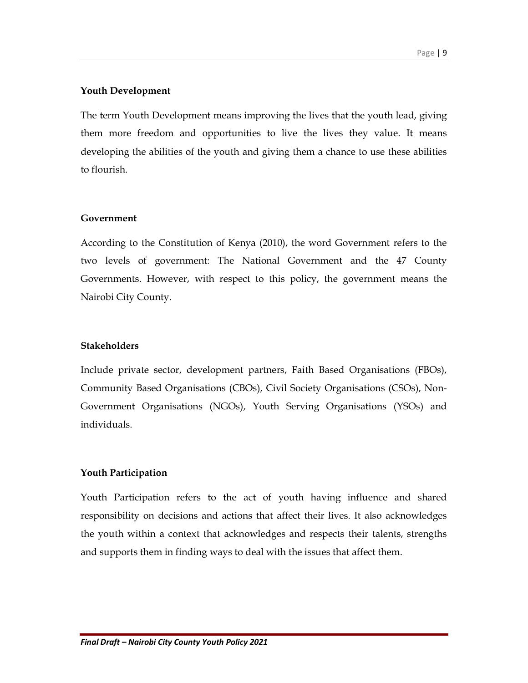#### Youth Development

The term Youth Development means improving the lives that the youth lead, giving them more freedom and opportunities to live the lives they value. It means developing the abilities of the youth and giving them a chance to use these abilities to flourish.

#### Government

According to the Constitution of Kenya (2010), the word Government refers to the two levels of government: The National Government and the 47 County Governments. However, with respect to this policy, the government means the Nairobi City County.

#### **Stakeholders**

Include private sector, development partners, Faith Based Organisations (FBOs), Community Based Organisations (CBOs), Civil Society Organisations (CSOs), Non-Government Organisations (NGOs), Youth Serving Organisations (YSOs) and individuals.

#### Youth Participation

Youth Participation refers to the act of youth having influence and shared responsibility on decisions and actions that affect their lives. It also acknowledges the youth within a context that acknowledges and respects their talents, strengths and supports them in finding ways to deal with the issues that affect them.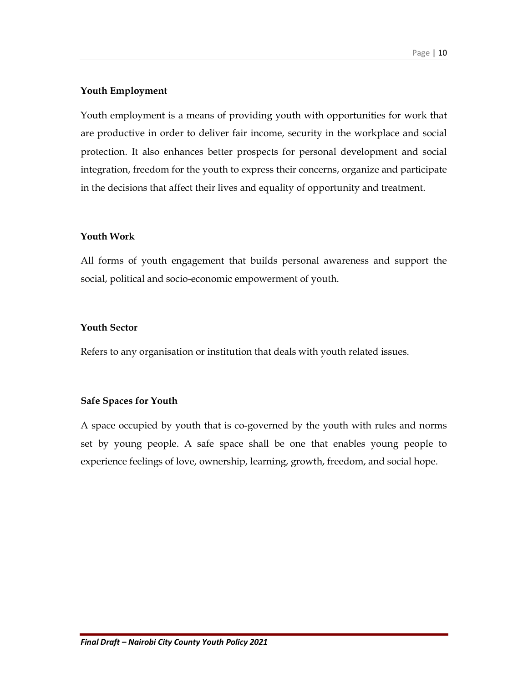### Youth Employment

Youth employment is a means of providing youth with opportunities for work that are productive in order to deliver fair income, security in the workplace and social protection. It also enhances better prospects for personal development and social integration, freedom for the youth to express their concerns, organize and participate in the decisions that affect their lives and equality of opportunity and treatment.

### Youth Work

All forms of youth engagement that builds personal awareness and support the social, political and socio-economic empowerment of youth.

### Youth Sector

Refers to any organisation or institution that deals with youth related issues.

#### Safe Spaces for Youth

A space occupied by youth that is co-governed by the youth with rules and norms set by young people. A safe space shall be one that enables young people to experience feelings of love, ownership, learning, growth, freedom, and social hope.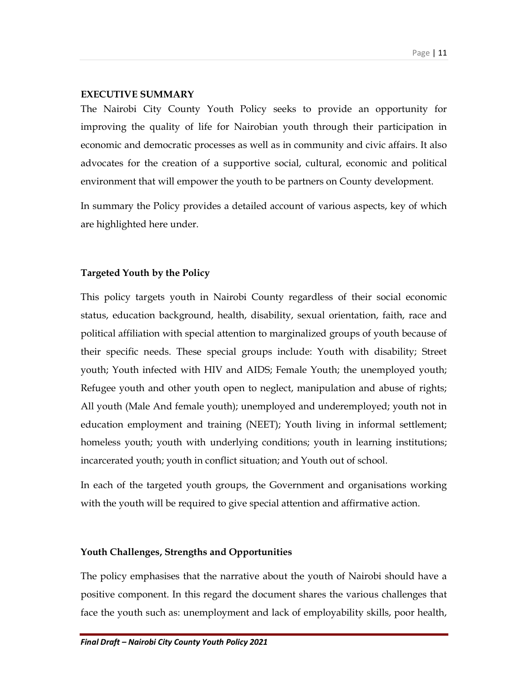### EXECUTIVE SUMMARY

The Nairobi City County Youth Policy seeks to provide an opportunity for improving the quality of life for Nairobian youth through their participation in economic and democratic processes as well as in community and civic affairs. It also advocates for the creation of a supportive social, cultural, economic and political environment that will empower the youth to be partners on County development.

In summary the Policy provides a detailed account of various aspects, key of which are highlighted here under.

## Targeted Youth by the Policy

This policy targets youth in Nairobi County regardless of their social economic status, education background, health, disability, sexual orientation, faith, race and political affiliation with special attention to marginalized groups of youth because of their specific needs. These special groups include: Youth with disability; Street youth; Youth infected with HIV and AIDS; Female Youth; the unemployed youth; Refugee youth and other youth open to neglect, manipulation and abuse of rights; All youth (Male And female youth); unemployed and underemployed; youth not in education employment and training (NEET); Youth living in informal settlement; homeless youth; youth with underlying conditions; youth in learning institutions; incarcerated youth; youth in conflict situation; and Youth out of school.

In each of the targeted youth groups, the Government and organisations working with the youth will be required to give special attention and affirmative action.

## Youth Challenges, Strengths and Opportunities

The policy emphasises that the narrative about the youth of Nairobi should have a positive component. In this regard the document shares the various challenges that face the youth such as: unemployment and lack of employability skills, poor health,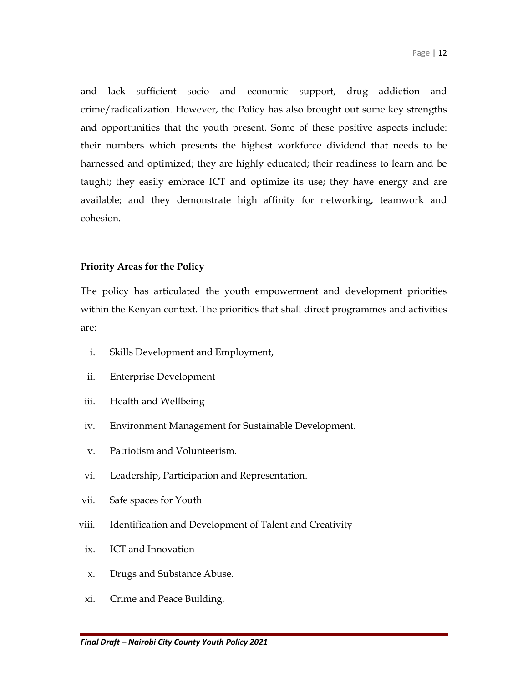and lack sufficient socio and economic support, drug addiction and crime/radicalization. However, the Policy has also brought out some key strengths and opportunities that the youth present. Some of these positive aspects include: their numbers which presents the highest workforce dividend that needs to be harnessed and optimized; they are highly educated; their readiness to learn and be taught; they easily embrace ICT and optimize its use; they have energy and are available; and they demonstrate high affinity for networking, teamwork and cohesion.

#### Priority Areas for the Policy

The policy has articulated the youth empowerment and development priorities within the Kenyan context. The priorities that shall direct programmes and activities are:

- i. Skills Development and Employment,
- ii. Enterprise Development
- iii. Health and Wellbeing
- iv. Environment Management for Sustainable Development.
- v. Patriotism and Volunteerism.
- vi. Leadership, Participation and Representation.
- vii. Safe spaces for Youth
- viii. Identification and Development of Talent and Creativity
- ix. ICT and Innovation
- x. Drugs and Substance Abuse.
- xi. Crime and Peace Building.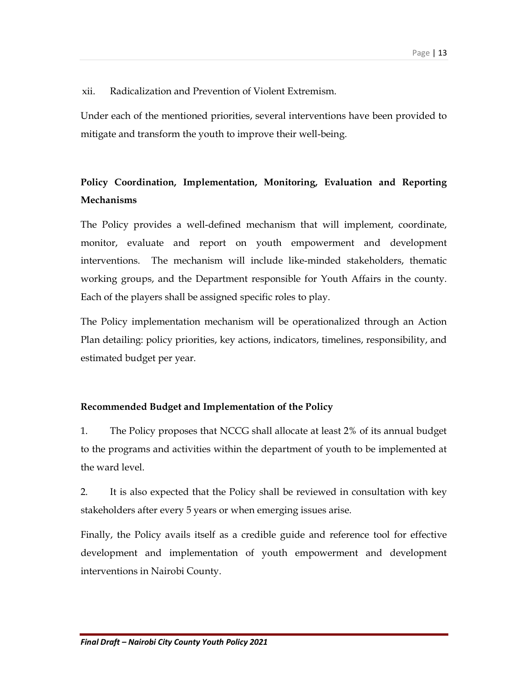xii. Radicalization and Prevention of Violent Extremism.

Under each of the mentioned priorities, several interventions have been provided to mitigate and transform the youth to improve their well-being.

# Policy Coordination, Implementation, Monitoring, Evaluation and Reporting Mechanisms

The Policy provides a well-defined mechanism that will implement, coordinate, monitor, evaluate and report on youth empowerment and development interventions. The mechanism will include like-minded stakeholders, thematic working groups, and the Department responsible for Youth Affairs in the county. Each of the players shall be assigned specific roles to play.

The Policy implementation mechanism will be operationalized through an Action Plan detailing: policy priorities, key actions, indicators, timelines, responsibility, and estimated budget per year.

## Recommended Budget and Implementation of the Policy

1. The Policy proposes that NCCG shall allocate at least 2% of its annual budget to the programs and activities within the department of youth to be implemented at the ward level.

2. It is also expected that the Policy shall be reviewed in consultation with key stakeholders after every 5 years or when emerging issues arise.

Finally, the Policy avails itself as a credible guide and reference tool for effective development and implementation of youth empowerment and development interventions in Nairobi County.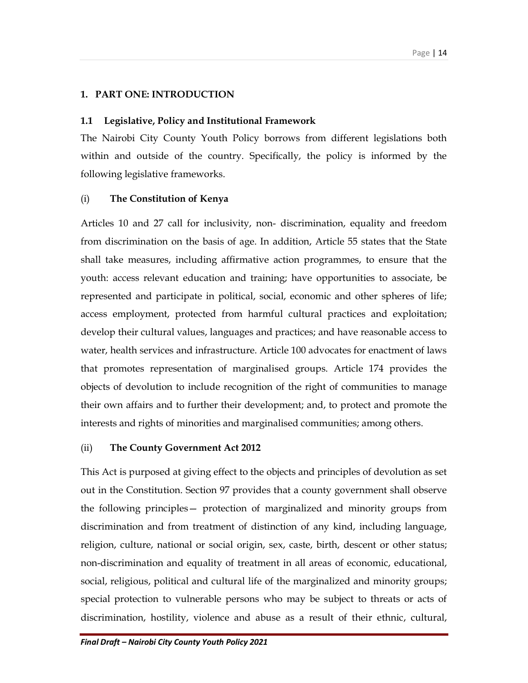## 1. PART ONE: INTRODUCTION

### 1.1 Legislative, Policy and Institutional Framework

The Nairobi City County Youth Policy borrows from different legislations both within and outside of the country. Specifically, the policy is informed by the following legislative frameworks.

## (i) The Constitution of Kenya

Articles 10 and 27 call for inclusivity, non- discrimination, equality and freedom from discrimination on the basis of age. In addition, Article 55 states that the State shall take measures, including affirmative action programmes, to ensure that the youth: access relevant education and training; have opportunities to associate, be represented and participate in political, social, economic and other spheres of life; access employment, protected from harmful cultural practices and exploitation; develop their cultural values, languages and practices; and have reasonable access to water, health services and infrastructure. Article 100 advocates for enactment of laws that promotes representation of marginalised groups. Article 174 provides the objects of devolution to include recognition of the right of communities to manage their own affairs and to further their development; and, to protect and promote the interests and rights of minorities and marginalised communities; among others.

#### (ii) The County Government Act 2012

This Act is purposed at giving effect to the objects and principles of devolution as set out in the Constitution. Section 97 provides that a county government shall observe the following principles— protection of marginalized and minority groups from discrimination and from treatment of distinction of any kind, including language, religion, culture, national or social origin, sex, caste, birth, descent or other status; non-discrimination and equality of treatment in all areas of economic, educational, social, religious, political and cultural life of the marginalized and minority groups; special protection to vulnerable persons who may be subject to threats or acts of discrimination, hostility, violence and abuse as a result of their ethnic, cultural,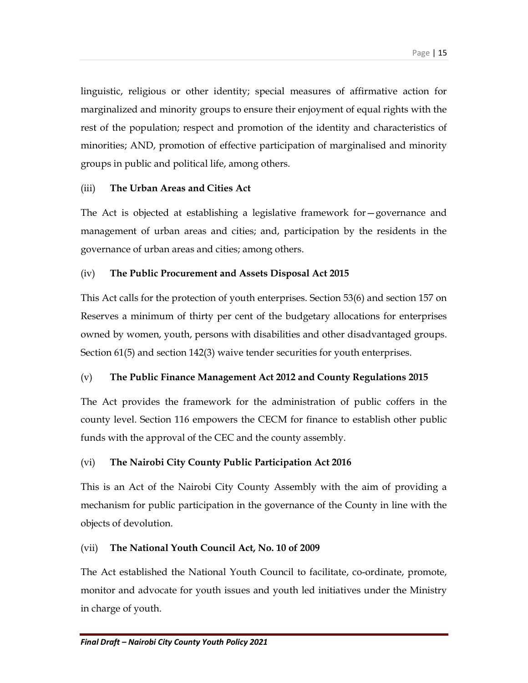linguistic, religious or other identity; special measures of affirmative action for marginalized and minority groups to ensure their enjoyment of equal rights with the rest of the population; respect and promotion of the identity and characteristics of minorities; AND, promotion of effective participation of marginalised and minority groups in public and political life, among others.

## (iii) The Urban Areas and Cities Act

The Act is objected at establishing a legislative framework for—governance and management of urban areas and cities; and, participation by the residents in the governance of urban areas and cities; among others.

## (iv) The Public Procurement and Assets Disposal Act 2015

This Act calls for the protection of youth enterprises. Section 53(6) and section 157 on Reserves a minimum of thirty per cent of the budgetary allocations for enterprises owned by women, youth, persons with disabilities and other disadvantaged groups. Section 61(5) and section 142(3) waive tender securities for youth enterprises.

## (v) The Public Finance Management Act 2012 and County Regulations 2015

The Act provides the framework for the administration of public coffers in the county level. Section 116 empowers the CECM for finance to establish other public funds with the approval of the CEC and the county assembly.

## (vi) The Nairobi City County Public Participation Act 2016

This is an Act of the Nairobi City County Assembly with the aim of providing a mechanism for public participation in the governance of the County in line with the objects of devolution.

## (vii) The National Youth Council Act, No. 10 of 2009

The Act established the National Youth Council to facilitate, co-ordinate, promote, monitor and advocate for youth issues and youth led initiatives under the Ministry in charge of youth.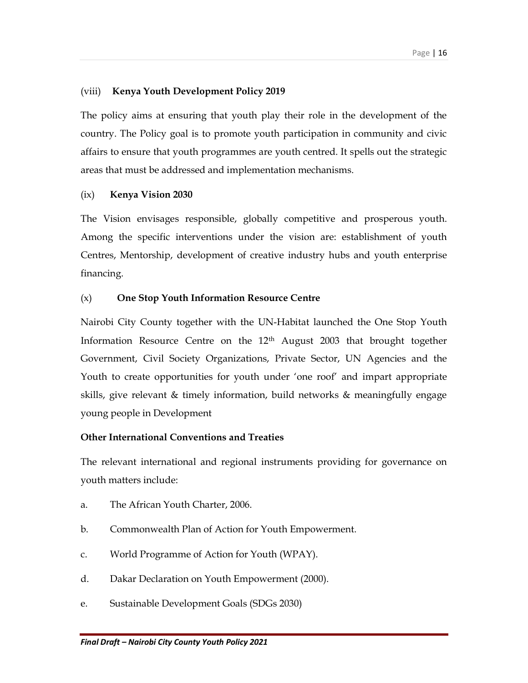## (viii) Kenya Youth Development Policy 2019

The policy aims at ensuring that youth play their role in the development of the country. The Policy goal is to promote youth participation in community and civic affairs to ensure that youth programmes are youth centred. It spells out the strategic areas that must be addressed and implementation mechanisms.

#### (ix) Kenya Vision 2030

The Vision envisages responsible, globally competitive and prosperous youth. Among the specific interventions under the vision are: establishment of youth Centres, Mentorship, development of creative industry hubs and youth enterprise financing.

#### (x) One Stop Youth Information Resource Centre

Nairobi City County together with the UN-Habitat launched the One Stop Youth Information Resource Centre on the 12<sup>th</sup> August 2003 that brought together Government, Civil Society Organizations, Private Sector, UN Agencies and the Youth to create opportunities for youth under 'one roof' and impart appropriate skills, give relevant & timely information, build networks & meaningfully engage young people in Development

#### Other International Conventions and Treaties

The relevant international and regional instruments providing for governance on youth matters include:

- a. The African Youth Charter, 2006.
- b. Commonwealth Plan of Action for Youth Empowerment.
- c. World Programme of Action for Youth (WPAY).
- d. Dakar Declaration on Youth Empowerment (2000).
- e. Sustainable Development Goals (SDGs 2030)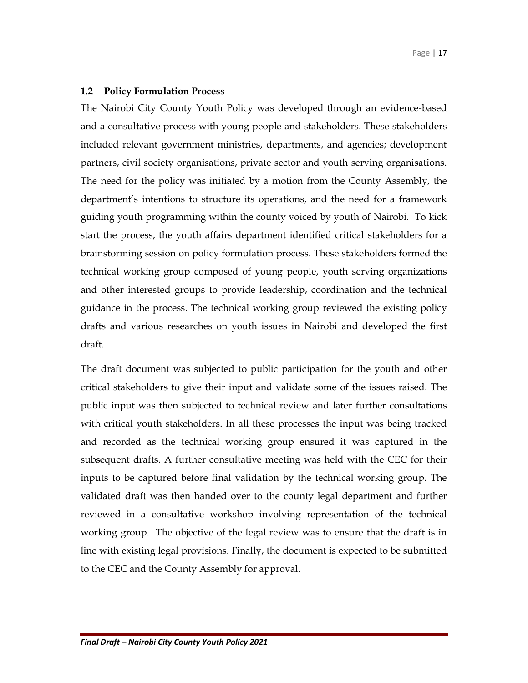#### 1.2 Policy Formulation Process

The Nairobi City County Youth Policy was developed through an evidence-based and a consultative process with young people and stakeholders. These stakeholders included relevant government ministries, departments, and agencies; development partners, civil society organisations, private sector and youth serving organisations. The need for the policy was initiated by a motion from the County Assembly, the department's intentions to structure its operations, and the need for a framework guiding youth programming within the county voiced by youth of Nairobi. To kick start the process, the youth affairs department identified critical stakeholders for a brainstorming session on policy formulation process. These stakeholders formed the technical working group composed of young people, youth serving organizations and other interested groups to provide leadership, coordination and the technical guidance in the process. The technical working group reviewed the existing policy drafts and various researches on youth issues in Nairobi and developed the first draft.

The draft document was subjected to public participation for the youth and other critical stakeholders to give their input and validate some of the issues raised. The public input was then subjected to technical review and later further consultations with critical youth stakeholders. In all these processes the input was being tracked and recorded as the technical working group ensured it was captured in the subsequent drafts. A further consultative meeting was held with the CEC for their inputs to be captured before final validation by the technical working group. The validated draft was then handed over to the county legal department and further reviewed in a consultative workshop involving representation of the technical working group. The objective of the legal review was to ensure that the draft is in line with existing legal provisions. Finally, the document is expected to be submitted to the CEC and the County Assembly for approval.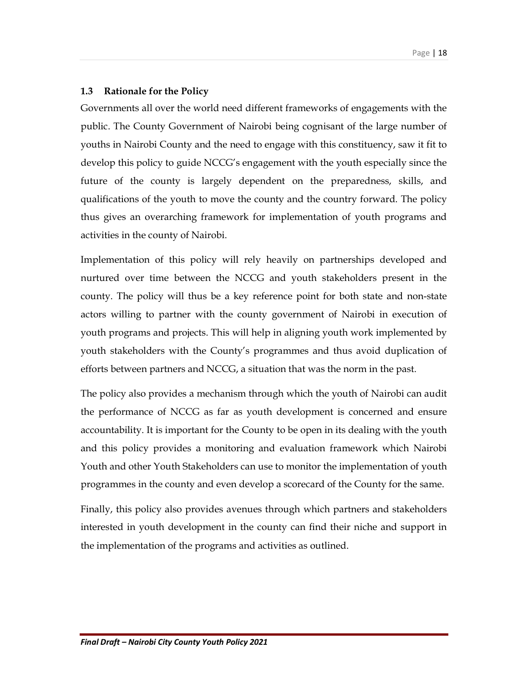## 1.3 Rationale for the Policy

Governments all over the world need different frameworks of engagements with the public. The County Government of Nairobi being cognisant of the large number of youths in Nairobi County and the need to engage with this constituency, saw it fit to develop this policy to guide NCCG's engagement with the youth especially since the future of the county is largely dependent on the preparedness, skills, and qualifications of the youth to move the county and the country forward. The policy thus gives an overarching framework for implementation of youth programs and activities in the county of Nairobi.

Implementation of this policy will rely heavily on partnerships developed and nurtured over time between the NCCG and youth stakeholders present in the county. The policy will thus be a key reference point for both state and non-state actors willing to partner with the county government of Nairobi in execution of youth programs and projects. This will help in aligning youth work implemented by youth stakeholders with the County's programmes and thus avoid duplication of efforts between partners and NCCG, a situation that was the norm in the past.

The policy also provides a mechanism through which the youth of Nairobi can audit the performance of NCCG as far as youth development is concerned and ensure accountability. It is important for the County to be open in its dealing with the youth and this policy provides a monitoring and evaluation framework which Nairobi Youth and other Youth Stakeholders can use to monitor the implementation of youth programmes in the county and even develop a scorecard of the County for the same.

Finally, this policy also provides avenues through which partners and stakeholders interested in youth development in the county can find their niche and support in the implementation of the programs and activities as outlined.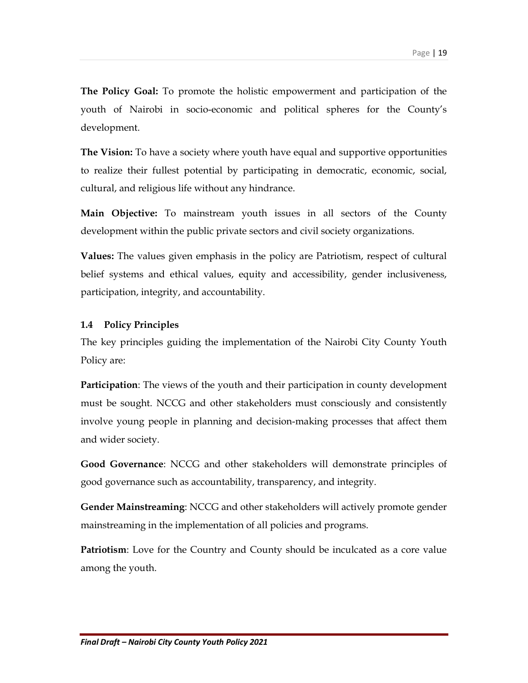The Policy Goal: To promote the holistic empowerment and participation of the youth of Nairobi in socio-economic and political spheres for the County's development.

**The Vision:** To have a society where youth have equal and supportive opportunities to realize their fullest potential by participating in democratic, economic, social, cultural, and religious life without any hindrance.

Main Objective: To mainstream youth issues in all sectors of the County development within the public private sectors and civil society organizations.

Values: The values given emphasis in the policy are Patriotism, respect of cultural belief systems and ethical values, equity and accessibility, gender inclusiveness, participation, integrity, and accountability.

## 1.4 Policy Principles

The key principles guiding the implementation of the Nairobi City County Youth Policy are:

Participation: The views of the youth and their participation in county development must be sought. NCCG and other stakeholders must consciously and consistently involve young people in planning and decision-making processes that affect them and wider society.

Good Governance: NCCG and other stakeholders will demonstrate principles of good governance such as accountability, transparency, and integrity.

Gender Mainstreaming: NCCG and other stakeholders will actively promote gender mainstreaming in the implementation of all policies and programs.

Patriotism: Love for the Country and County should be inculcated as a core value among the youth.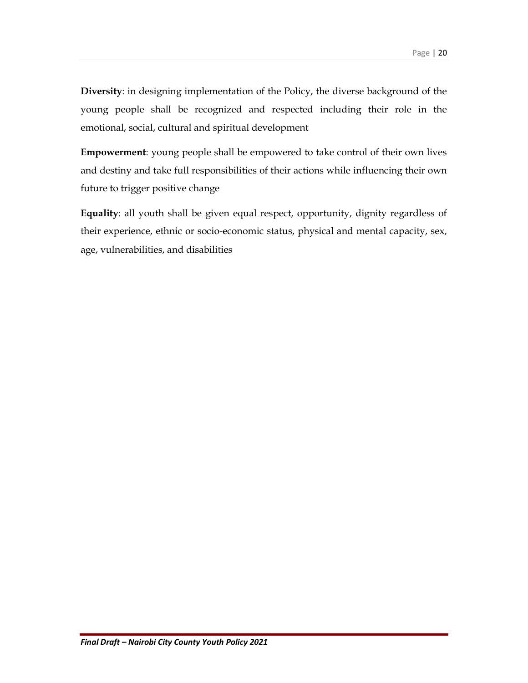Diversity: in designing implementation of the Policy, the diverse background of the young people shall be recognized and respected including their role in the emotional, social, cultural and spiritual development

Empowerment: young people shall be empowered to take control of their own lives and destiny and take full responsibilities of their actions while influencing their own future to trigger positive change

Equality: all youth shall be given equal respect, opportunity, dignity regardless of their experience, ethnic or socio-economic status, physical and mental capacity, sex, age, vulnerabilities, and disabilities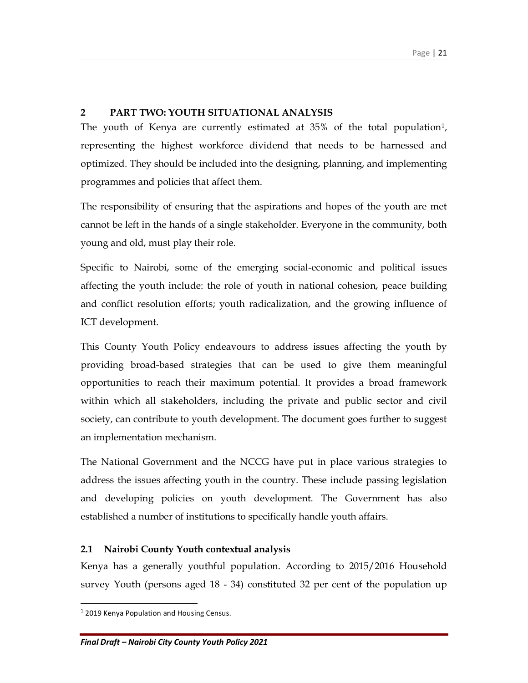## 2 PART TWO: YOUTH SITUATIONAL ANALYSIS

The youth of Kenya are currently estimated at 35% of the total population<sup>1</sup>, representing the highest workforce dividend that needs to be harnessed and optimized. They should be included into the designing, planning, and implementing programmes and policies that affect them.

The responsibility of ensuring that the aspirations and hopes of the youth are met cannot be left in the hands of a single stakeholder. Everyone in the community, both young and old, must play their role.

Specific to Nairobi, some of the emerging social-economic and political issues affecting the youth include: the role of youth in national cohesion, peace building and conflict resolution efforts; youth radicalization, and the growing influence of ICT development.

This County Youth Policy endeavours to address issues affecting the youth by providing broad-based strategies that can be used to give them meaningful opportunities to reach their maximum potential. It provides a broad framework within which all stakeholders, including the private and public sector and civil society, can contribute to youth development. The document goes further to suggest an implementation mechanism.

The National Government and the NCCG have put in place various strategies to address the issues affecting youth in the country. These include passing legislation and developing policies on youth development. The Government has also established a number of institutions to specifically handle youth affairs.

## 2.1 Nairobi County Youth contextual analysis

Kenya has a generally youthful population. According to 2015/2016 Household survey Youth (persons aged 18 - 34) constituted 32 per cent of the population up

 $\overline{a}$ 

<sup>&</sup>lt;sup>1</sup> 2019 Kenya Population and Housing Census.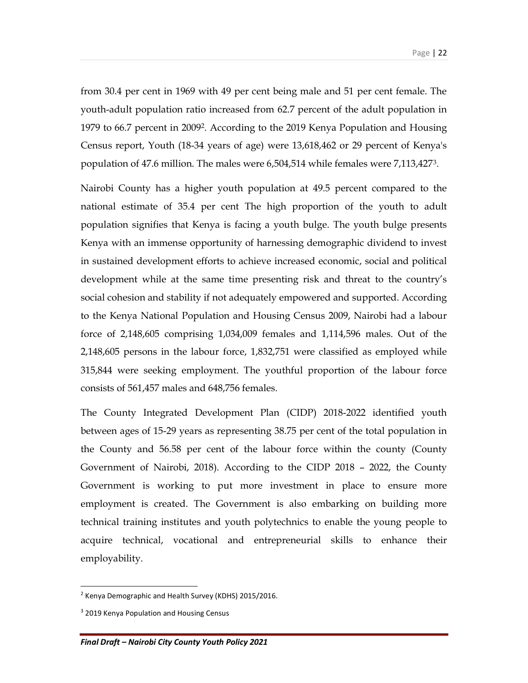from 30.4 per cent in 1969 with 49 per cent being male and 51 per cent female. The youth-adult population ratio increased from 62.7 percent of the adult population in 1979 to 66.7 percent in 2009<sup>2</sup> . According to the 2019 Kenya Population and Housing Census report, Youth (18-34 years of age) were 13,618,462 or 29 percent of Kenya's population of 47.6 million. The males were 6,504,514 while females were 7,113,4273.

Nairobi County has a higher youth population at 49.5 percent compared to the national estimate of 35.4 per cent The high proportion of the youth to adult population signifies that Kenya is facing a youth bulge. The youth bulge presents Kenya with an immense opportunity of harnessing demographic dividend to invest in sustained development efforts to achieve increased economic, social and political development while at the same time presenting risk and threat to the country's social cohesion and stability if not adequately empowered and supported. According to the Kenya National Population and Housing Census 2009, Nairobi had a labour force of 2,148,605 comprising 1,034,009 females and 1,114,596 males. Out of the 2,148,605 persons in the labour force, 1,832,751 were classified as employed while 315,844 were seeking employment. The youthful proportion of the labour force consists of 561,457 males and 648,756 females.

The County Integrated Development Plan (CIDP) 2018-2022 identified youth between ages of 15-29 years as representing 38.75 per cent of the total population in the County and 56.58 per cent of the labour force within the county (County Government of Nairobi, 2018). According to the CIDP 2018 – 2022, the County Government is working to put more investment in place to ensure more employment is created. The Government is also embarking on building more technical training institutes and youth polytechnics to enable the young people to acquire technical, vocational and entrepreneurial skills to enhance their employability.

 $\overline{a}$ 

<sup>&</sup>lt;sup>2</sup> Kenya Demographic and Health Survey (KDHS) 2015/2016.

<sup>&</sup>lt;sup>3</sup> 2019 Kenya Population and Housing Census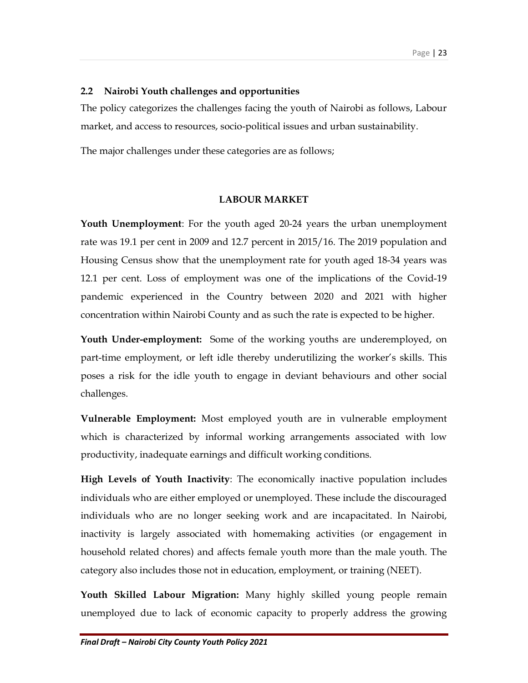#### 2.2 Nairobi Youth challenges and opportunities

The policy categorizes the challenges facing the youth of Nairobi as follows, Labour market, and access to resources, socio-political issues and urban sustainability.

The major challenges under these categories are as follows;

#### LABOUR MARKET

Youth Unemployment: For the youth aged 20-24 years the urban unemployment rate was 19.1 per cent in 2009 and 12.7 percent in 2015/16. The 2019 population and Housing Census show that the unemployment rate for youth aged 18-34 years was 12.1 per cent. Loss of employment was one of the implications of the Covid-19 pandemic experienced in the Country between 2020 and 2021 with higher concentration within Nairobi County and as such the rate is expected to be higher.

**Youth Under-employment:** Some of the working youths are underemployed, on part-time employment, or left idle thereby underutilizing the worker's skills. This poses a risk for the idle youth to engage in deviant behaviours and other social challenges.

Vulnerable Employment: Most employed youth are in vulnerable employment which is characterized by informal working arrangements associated with low productivity, inadequate earnings and difficult working conditions.

High Levels of Youth Inactivity: The economically inactive population includes individuals who are either employed or unemployed. These include the discouraged individuals who are no longer seeking work and are incapacitated. In Nairobi, inactivity is largely associated with homemaking activities (or engagement in household related chores) and affects female youth more than the male youth. The category also includes those not in education, employment, or training (NEET).

Youth Skilled Labour Migration: Many highly skilled young people remain unemployed due to lack of economic capacity to properly address the growing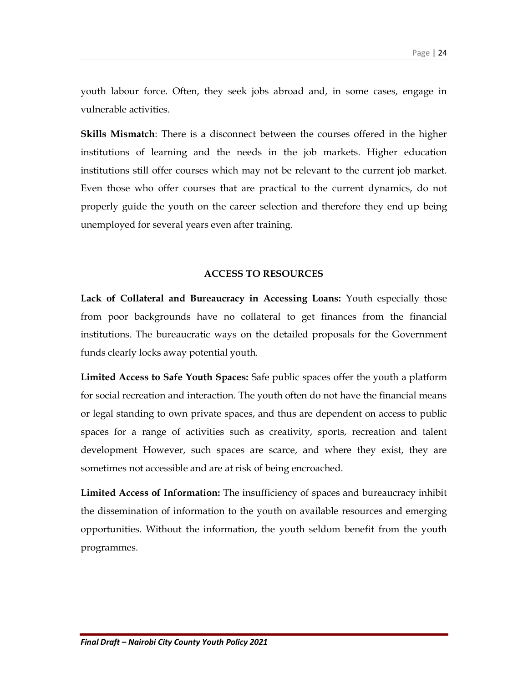youth labour force. Often, they seek jobs abroad and, in some cases, engage in vulnerable activities.

Skills Mismatch: There is a disconnect between the courses offered in the higher institutions of learning and the needs in the job markets. Higher education institutions still offer courses which may not be relevant to the current job market. Even those who offer courses that are practical to the current dynamics, do not properly guide the youth on the career selection and therefore they end up being unemployed for several years even after training.

#### ACCESS TO RESOURCES

Lack of Collateral and Bureaucracy in Accessing Loans: Youth especially those from poor backgrounds have no collateral to get finances from the financial institutions. The bureaucratic ways on the detailed proposals for the Government funds clearly locks away potential youth.

Limited Access to Safe Youth Spaces: Safe public spaces offer the youth a platform for social recreation and interaction. The youth often do not have the financial means or legal standing to own private spaces, and thus are dependent on access to public spaces for a range of activities such as creativity, sports, recreation and talent development However, such spaces are scarce, and where they exist, they are sometimes not accessible and are at risk of being encroached.

Limited Access of Information: The insufficiency of spaces and bureaucracy inhibit the dissemination of information to the youth on available resources and emerging opportunities. Without the information, the youth seldom benefit from the youth programmes.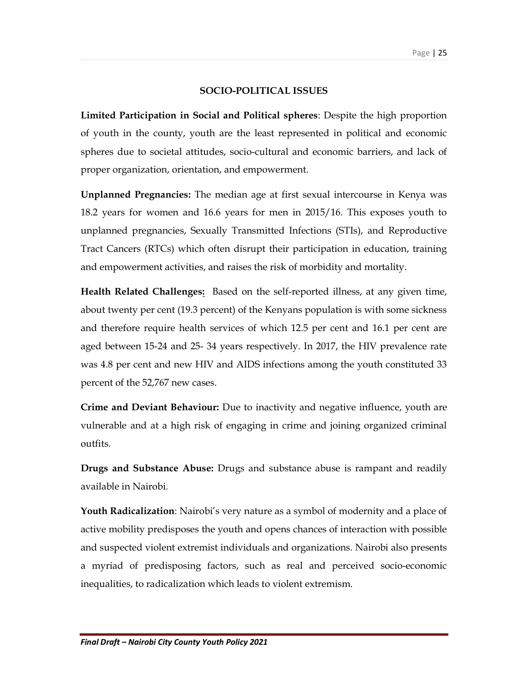#### SOCIO-POLITICAL ISSUES

Limited Participation in Social and Political spheres: Despite the high proportion of youth in the county, youth are the least represented in political and economic spheres due to societal attitudes, socio-cultural and economic barriers, and lack of proper organization, orientation, and empowerment.

Unplanned Pregnancies: The median age at first sexual intercourse in Kenya was 18.2 years for women and 16.6 years for men in 2015/16. This exposes youth to unplanned pregnancies, Sexually Transmitted Infections (STIs), and Reproductive Tract Cancers (RTCs) which often disrupt their participation in education, training and empowerment activities, and raises the risk of morbidity and mortality.

**Health Related Challenges:** Based on the self-reported illness, at any given time, about twenty per cent (19.3 percent) of the Kenyans population is with some sickness and therefore require health services of which 12.5 per cent and 16.1 per cent are aged between 15-24 and 25- 34 years respectively. In 2017, the HIV prevalence rate was 4.8 per cent and new HIV and AIDS infections among the youth constituted 33 percent of the 52,767 new cases.

Crime and Deviant Behaviour: Due to inactivity and negative influence, youth are vulnerable and at a high risk of engaging in crime and joining organized criminal outfits.

Drugs and Substance Abuse: Drugs and substance abuse is rampant and readily available in Nairobi.

Youth Radicalization: Nairobi's very nature as a symbol of modernity and a place of active mobility predisposes the youth and opens chances of interaction with possible and suspected violent extremist individuals and organizations. Nairobi also presents a myriad of predisposing factors, such as real and perceived socio-economic inequalities, to radicalization which leads to violent extremism.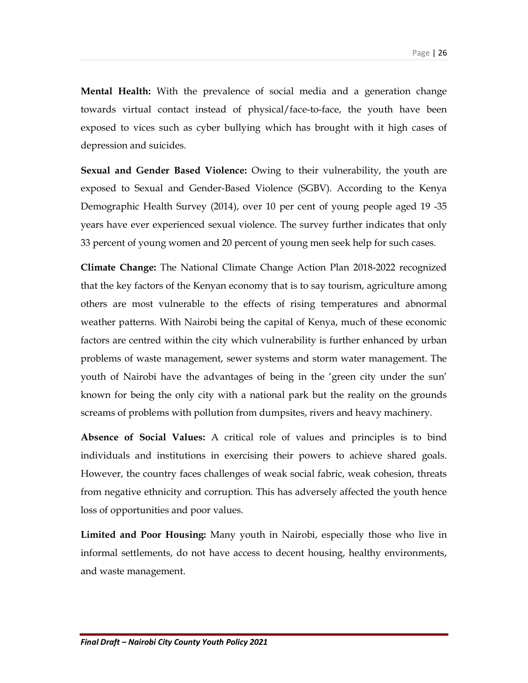Mental Health: With the prevalence of social media and a generation change towards virtual contact instead of physical/face-to-face, the youth have been exposed to vices such as cyber bullying which has brought with it high cases of depression and suicides.

Sexual and Gender Based Violence: Owing to their vulnerability, the youth are exposed to Sexual and Gender-Based Violence (SGBV). According to the Kenya Demographic Health Survey (2014), over 10 per cent of young people aged 19 -35 years have ever experienced sexual violence. The survey further indicates that only 33 percent of young women and 20 percent of young men seek help for such cases.

Climate Change: The National Climate Change Action Plan 2018-2022 recognized that the key factors of the Kenyan economy that is to say tourism, agriculture among others are most vulnerable to the effects of rising temperatures and abnormal weather patterns. With Nairobi being the capital of Kenya, much of these economic factors are centred within the city which vulnerability is further enhanced by urban problems of waste management, sewer systems and storm water management. The youth of Nairobi have the advantages of being in the 'green city under the sun' known for being the only city with a national park but the reality on the grounds screams of problems with pollution from dumpsites, rivers and heavy machinery.

Absence of Social Values: A critical role of values and principles is to bind individuals and institutions in exercising their powers to achieve shared goals. However, the country faces challenges of weak social fabric, weak cohesion, threats from negative ethnicity and corruption. This has adversely affected the youth hence loss of opportunities and poor values.

Limited and Poor Housing: Many youth in Nairobi, especially those who live in informal settlements, do not have access to decent housing, healthy environments, and waste management.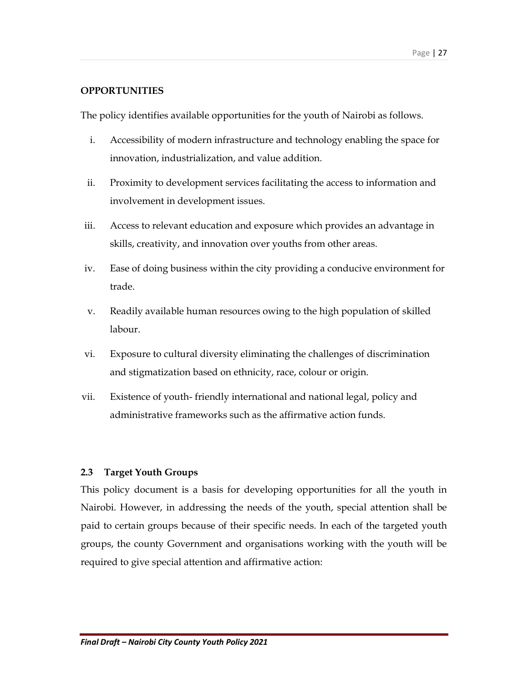## **OPPORTUNITIES**

The policy identifies available opportunities for the youth of Nairobi as follows.

- i. Accessibility of modern infrastructure and technology enabling the space for innovation, industrialization, and value addition.
- ii. Proximity to development services facilitating the access to information and involvement in development issues.
- iii. Access to relevant education and exposure which provides an advantage in skills, creativity, and innovation over youths from other areas.
- iv. Ease of doing business within the city providing a conducive environment for trade.
- v. Readily available human resources owing to the high population of skilled labour.
- vi. Exposure to cultural diversity eliminating the challenges of discrimination and stigmatization based on ethnicity, race, colour or origin.
- vii. Existence of youth- friendly international and national legal, policy and administrative frameworks such as the affirmative action funds.

## 2.3 Target Youth Groups

This policy document is a basis for developing opportunities for all the youth in Nairobi. However, in addressing the needs of the youth, special attention shall be paid to certain groups because of their specific needs. In each of the targeted youth groups, the county Government and organisations working with the youth will be required to give special attention and affirmative action: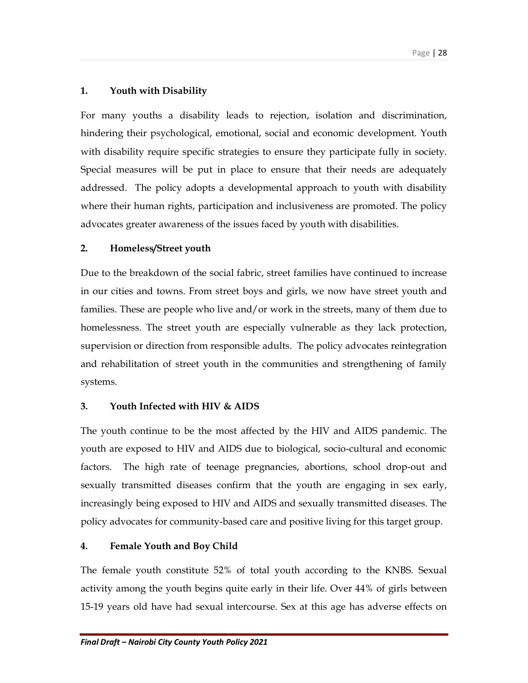# 1. Youth with Disability

For many youths a disability leads to rejection, isolation and discrimination, hindering their psychological, emotional, social and economic development. Youth with disability require specific strategies to ensure they participate fully in society. Special measures will be put in place to ensure that their needs are adequately addressed. The policy adopts a developmental approach to youth with disability where their human rights, participation and inclusiveness are promoted. The policy advocates greater awareness of the issues faced by youth with disabilities.

## 2. Homeless/Street youth

Due to the breakdown of the social fabric, street families have continued to increase in our cities and towns. From street boys and girls, we now have street youth and families. These are people who live and/or work in the streets, many of them due to homelessness. The street youth are especially vulnerable as they lack protection, supervision or direction from responsible adults. The policy advocates reintegration and rehabilitation of street youth in the communities and strengthening of family systems.

## 3. Youth Infected with HIV & AIDS

The youth continue to be the most affected by the HIV and AIDS pandemic. The youth are exposed to HIV and AIDS due to biological, socio-cultural and economic factors. The high rate of teenage pregnancies, abortions, school drop-out and sexually transmitted diseases confirm that the youth are engaging in sex early, increasingly being exposed to HIV and AIDS and sexually transmitted diseases. The policy advocates for community-based care and positive living for this target group.

# 4. Female Youth and Boy Child

The female youth constitute 52% of total youth according to the KNBS. Sexual activity among the youth begins quite early in their life. Over 44% of girls between 15-19 years old have had sexual intercourse. Sex at this age has adverse effects on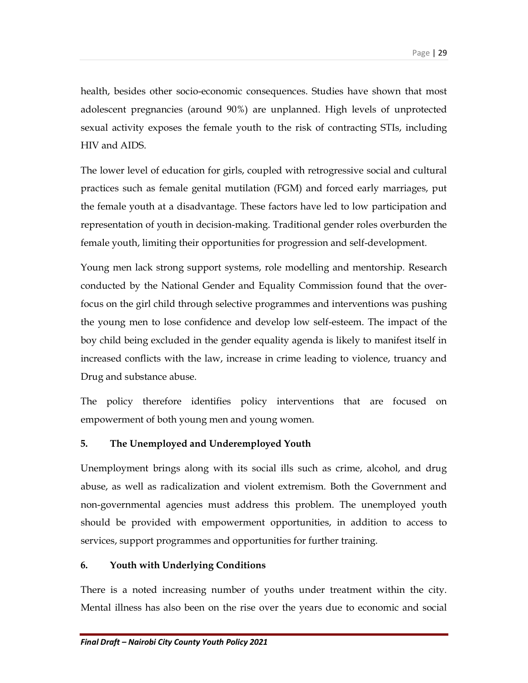health, besides other socio-economic consequences. Studies have shown that most adolescent pregnancies (around 90%) are unplanned. High levels of unprotected sexual activity exposes the female youth to the risk of contracting STIs, including HIV and AIDS.

The lower level of education for girls, coupled with retrogressive social and cultural practices such as female genital mutilation (FGM) and forced early marriages, put the female youth at a disadvantage. These factors have led to low participation and representation of youth in decision-making. Traditional gender roles overburden the female youth, limiting their opportunities for progression and self-development.

Young men lack strong support systems, role modelling and mentorship. Research conducted by the National Gender and Equality Commission found that the overfocus on the girl child through selective programmes and interventions was pushing the young men to lose confidence and develop low self-esteem. The impact of the boy child being excluded in the gender equality agenda is likely to manifest itself in increased conflicts with the law, increase in crime leading to violence, truancy and Drug and substance abuse.

The policy therefore identifies policy interventions that are focused on empowerment of both young men and young women.

## 5. The Unemployed and Underemployed Youth

Unemployment brings along with its social ills such as crime, alcohol, and drug abuse, as well as radicalization and violent extremism. Both the Government and non-governmental agencies must address this problem. The unemployed youth should be provided with empowerment opportunities, in addition to access to services, support programmes and opportunities for further training.

## 6. Youth with Underlying Conditions

There is a noted increasing number of youths under treatment within the city. Mental illness has also been on the rise over the years due to economic and social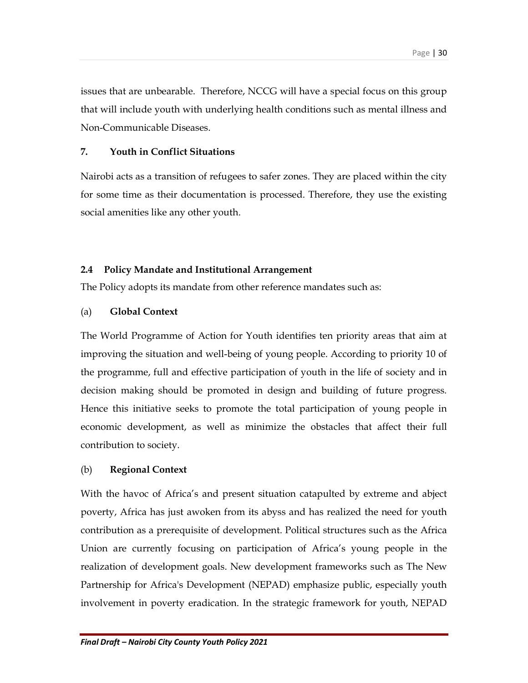issues that are unbearable. Therefore, NCCG will have a special focus on this group that will include youth with underlying health conditions such as mental illness and Non-Communicable Diseases.

## 7. Youth in Conflict Situations

Nairobi acts as a transition of refugees to safer zones. They are placed within the city for some time as their documentation is processed. Therefore, they use the existing social amenities like any other youth.

## 2.4 Policy Mandate and Institutional Arrangement

The Policy adopts its mandate from other reference mandates such as:

## (a) Global Context

The World Programme of Action for Youth identifies ten priority areas that aim at improving the situation and well-being of young people. According to priority 10 of the programme, full and effective participation of youth in the life of society and in decision making should be promoted in design and building of future progress. Hence this initiative seeks to promote the total participation of young people in economic development, as well as minimize the obstacles that affect their full contribution to society.

## (b) Regional Context

With the havoc of Africa's and present situation catapulted by extreme and abject poverty, Africa has just awoken from its abyss and has realized the need for youth contribution as a prerequisite of development. Political structures such as the Africa Union are currently focusing on participation of Africa's young people in the realization of development goals. New development frameworks such as The New Partnership for Africa's Development (NEPAD) emphasize public, especially youth involvement in poverty eradication. In the strategic framework for youth, NEPAD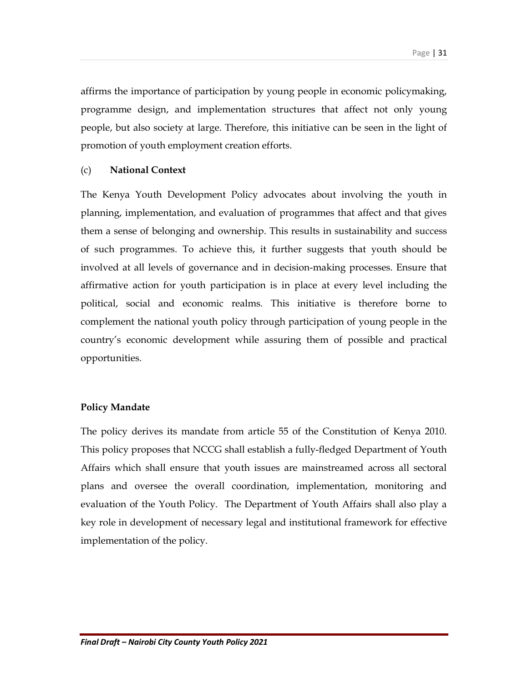affirms the importance of participation by young people in economic policymaking, programme design, and implementation structures that affect not only young people, but also society at large. Therefore, this initiative can be seen in the light of promotion of youth employment creation efforts.

#### (c) National Context

The Kenya Youth Development Policy advocates about involving the youth in planning, implementation, and evaluation of programmes that affect and that gives them a sense of belonging and ownership. This results in sustainability and success of such programmes. To achieve this, it further suggests that youth should be involved at all levels of governance and in decision-making processes. Ensure that affirmative action for youth participation is in place at every level including the political, social and economic realms. This initiative is therefore borne to complement the national youth policy through participation of young people in the country's economic development while assuring them of possible and practical opportunities.

#### Policy Mandate

The policy derives its mandate from article 55 of the Constitution of Kenya 2010. This policy proposes that NCCG shall establish a fully-fledged Department of Youth Affairs which shall ensure that youth issues are mainstreamed across all sectoral plans and oversee the overall coordination, implementation, monitoring and evaluation of the Youth Policy. The Department of Youth Affairs shall also play a key role in development of necessary legal and institutional framework for effective implementation of the policy.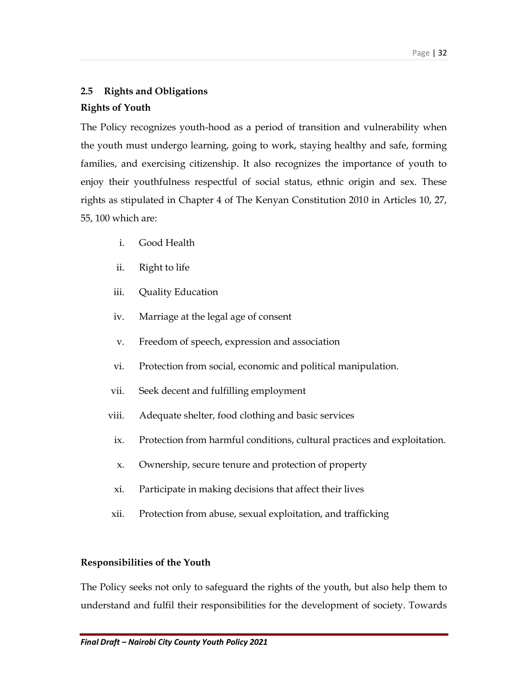## 2.5 Rights and Obligations

## Rights of Youth

The Policy recognizes youth-hood as a period of transition and vulnerability when the youth must undergo learning, going to work, staying healthy and safe, forming families, and exercising citizenship. It also recognizes the importance of youth to enjoy their youthfulness respectful of social status, ethnic origin and sex. These rights as stipulated in Chapter 4 of The Kenyan Constitution 2010 in Articles 10, 27, 55, 100 which are:

- i. Good Health
- ii. Right to life
- iii. Quality Education
- iv. Marriage at the legal age of consent
- v. Freedom of speech, expression and association
- vi. Protection from social, economic and political manipulation.
- vii. Seek decent and fulfilling employment
- viii. Adequate shelter, food clothing and basic services
	- ix. Protection from harmful conditions, cultural practices and exploitation.
	- x. Ownership, secure tenure and protection of property
	- xi. Participate in making decisions that affect their lives
- xii. Protection from abuse, sexual exploitation, and trafficking

## Responsibilities of the Youth

The Policy seeks not only to safeguard the rights of the youth, but also help them to understand and fulfil their responsibilities for the development of society. Towards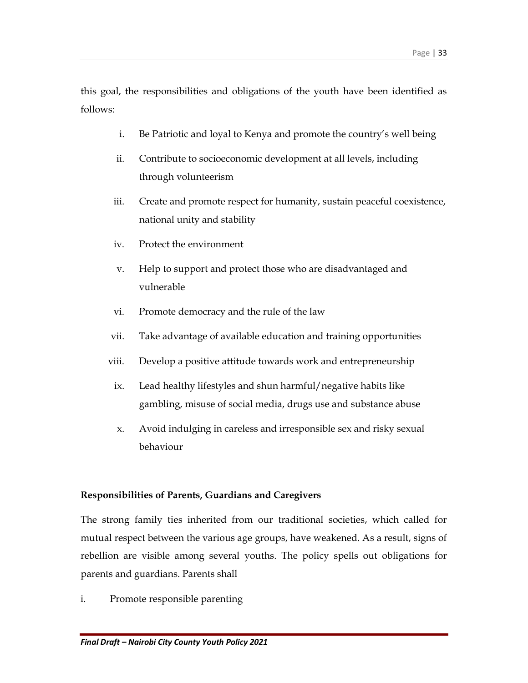this goal, the responsibilities and obligations of the youth have been identified as follows:

- i. Be Patriotic and loyal to Kenya and promote the country's well being
- ii. Contribute to socioeconomic development at all levels, including through volunteerism
- iii. Create and promote respect for humanity, sustain peaceful coexistence, national unity and stability
- iv. Protect the environment
- v. Help to support and protect those who are disadvantaged and vulnerable
- vi. Promote democracy and the rule of the law
- vii. Take advantage of available education and training opportunities
- viii. Develop a positive attitude towards work and entrepreneurship
	- ix. Lead healthy lifestyles and shun harmful/negative habits like gambling, misuse of social media, drugs use and substance abuse
	- x. Avoid indulging in careless and irresponsible sex and risky sexual behaviour

#### Responsibilities of Parents, Guardians and Caregivers

The strong family ties inherited from our traditional societies, which called for mutual respect between the various age groups, have weakened. As a result, signs of rebellion are visible among several youths. The policy spells out obligations for parents and guardians. Parents shall

i. Promote responsible parenting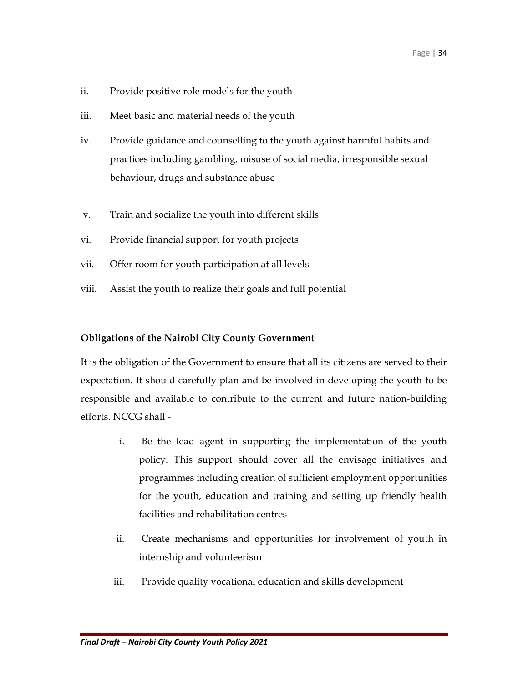- ii. Provide positive role models for the youth
- iii. Meet basic and material needs of the youth
- iv. Provide guidance and counselling to the youth against harmful habits and practices including gambling, misuse of social media, irresponsible sexual behaviour, drugs and substance abuse
- v. Train and socialize the youth into different skills
- vi. Provide financial support for youth projects
- vii. Offer room for youth participation at all levels
- viii. Assist the youth to realize their goals and full potential

#### Obligations of the Nairobi City County Government

It is the obligation of the Government to ensure that all its citizens are served to their expectation. It should carefully plan and be involved in developing the youth to be responsible and available to contribute to the current and future nation-building efforts. NCCG shall -

- i. Be the lead agent in supporting the implementation of the youth policy. This support should cover all the envisage initiatives and programmes including creation of sufficient employment opportunities for the youth, education and training and setting up friendly health facilities and rehabilitation centres
- ii. Create mechanisms and opportunities for involvement of youth in internship and volunteerism
- iii. Provide quality vocational education and skills development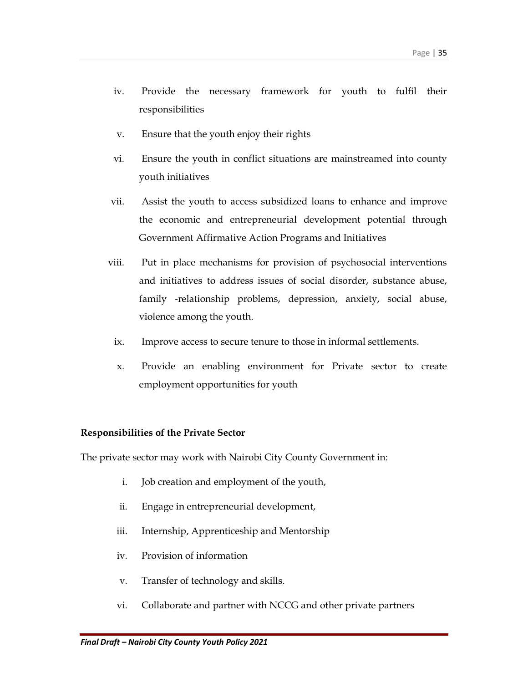- iv. Provide the necessary framework for youth to fulfil their responsibilities
- v. Ensure that the youth enjoy their rights
- vi. Ensure the youth in conflict situations are mainstreamed into county youth initiatives
- vii. Assist the youth to access subsidized loans to enhance and improve the economic and entrepreneurial development potential through Government Affirmative Action Programs and Initiatives
- viii. Put in place mechanisms for provision of psychosocial interventions and initiatives to address issues of social disorder, substance abuse, family -relationship problems, depression, anxiety, social abuse, violence among the youth.
	- ix. Improve access to secure tenure to those in informal settlements.
	- x. Provide an enabling environment for Private sector to create employment opportunities for youth

#### Responsibilities of the Private Sector

The private sector may work with Nairobi City County Government in:

- i. Job creation and employment of the youth,
- ii. Engage in entrepreneurial development,
- iii. Internship, Apprenticeship and Mentorship
- iv. Provision of information
- v. Transfer of technology and skills.
- vi. Collaborate and partner with NCCG and other private partners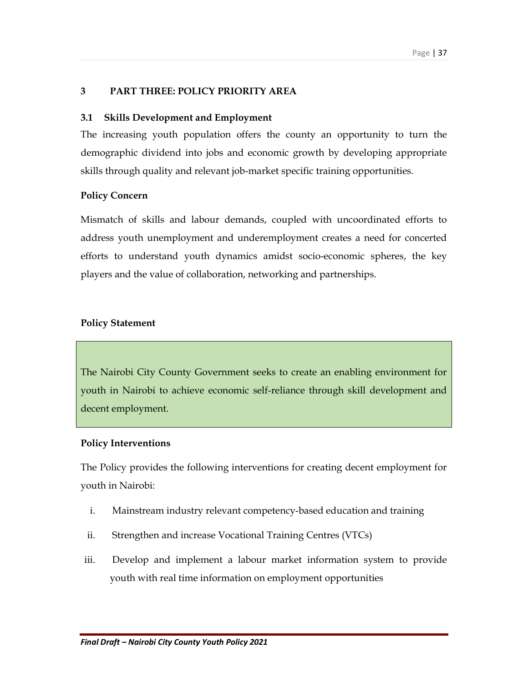#### 3 PART THREE: POLICY PRIORITY AREA

#### 3.1 Skills Development and Employment

The increasing youth population offers the county an opportunity to turn the demographic dividend into jobs and economic growth by developing appropriate skills through quality and relevant job-market specific training opportunities.

#### Policy Concern

Mismatch of skills and labour demands, coupled with uncoordinated efforts to address youth unemployment and underemployment creates a need for concerted efforts to understand youth dynamics amidst socio-economic spheres, the key players and the value of collaboration, networking and partnerships.

#### Policy Statement

The Nairobi City County Government seeks to create an enabling environment for youth in Nairobi to achieve economic self-reliance through skill development and decent employment.

#### Policy Interventions

The Policy provides the following interventions for creating decent employment for youth in Nairobi:

- i. Mainstream industry relevant competency-based education and training
- ii. Strengthen and increase Vocational Training Centres (VTCs)
- iii. Develop and implement a labour market information system to provide youth with real time information on employment opportunities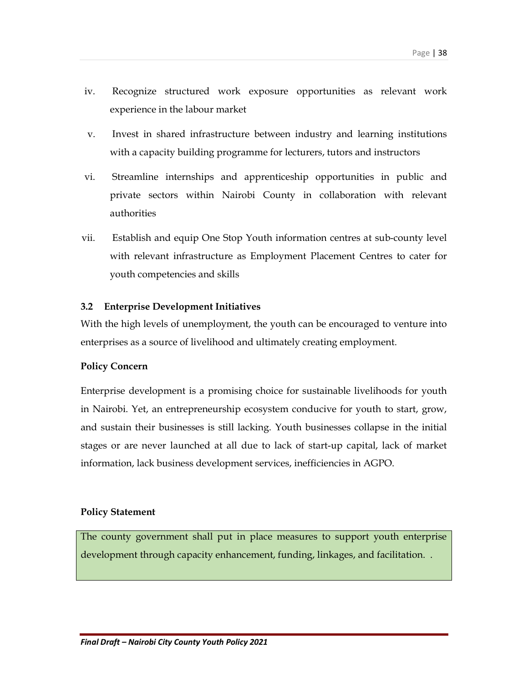- iv. Recognize structured work exposure opportunities as relevant work experience in the labour market
- v. Invest in shared infrastructure between industry and learning institutions with a capacity building programme for lecturers, tutors and instructors
- vi. Streamline internships and apprenticeship opportunities in public and private sectors within Nairobi County in collaboration with relevant authorities
- vii. Establish and equip One Stop Youth information centres at sub-county level with relevant infrastructure as Employment Placement Centres to cater for youth competencies and skills

### 3.2 Enterprise Development Initiatives

With the high levels of unemployment, the youth can be encouraged to venture into enterprises as a source of livelihood and ultimately creating employment.

#### Policy Concern

Enterprise development is a promising choice for sustainable livelihoods for youth in Nairobi. Yet, an entrepreneurship ecosystem conducive for youth to start, grow, and sustain their businesses is still lacking. Youth businesses collapse in the initial stages or are never launched at all due to lack of start-up capital, lack of market information, lack business development services, inefficiencies in AGPO.

#### Policy Statement

The county government shall put in place measures to support youth enterprise development through capacity enhancement, funding, linkages, and facilitation. .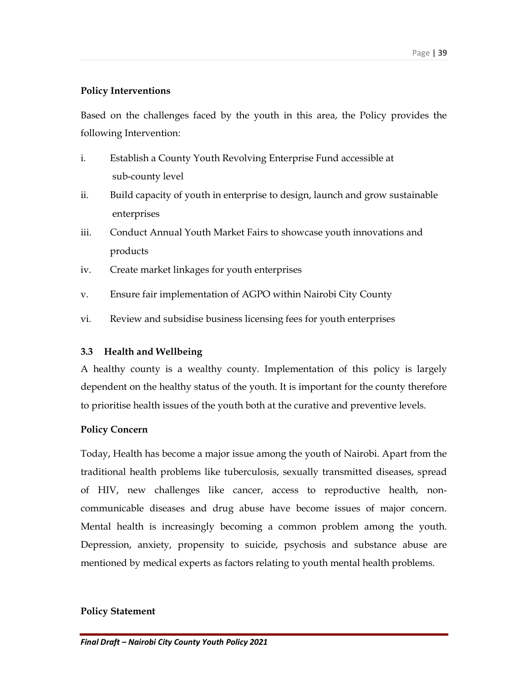## Policy Interventions

Based on the challenges faced by the youth in this area, the Policy provides the following Intervention:

- i. Establish a County Youth Revolving Enterprise Fund accessible at sub-county level
- ii. Build capacity of youth in enterprise to design, launch and grow sustainable enterprises
- iii. Conduct Annual Youth Market Fairs to showcase youth innovations and products
- iv. Create market linkages for youth enterprises
- v. Ensure fair implementation of AGPO within Nairobi City County
- vi. Review and subsidise business licensing fees for youth enterprises

## 3.3 Health and Wellbeing

A healthy county is a wealthy county. Implementation of this policy is largely dependent on the healthy status of the youth. It is important for the county therefore to prioritise health issues of the youth both at the curative and preventive levels.

## Policy Concern

Today, Health has become a major issue among the youth of Nairobi. Apart from the traditional health problems like tuberculosis, sexually transmitted diseases, spread of HIV, new challenges like cancer, access to reproductive health, noncommunicable diseases and drug abuse have become issues of major concern. Mental health is increasingly becoming a common problem among the youth. Depression, anxiety, propensity to suicide, psychosis and substance abuse are mentioned by medical experts as factors relating to youth mental health problems.

#### Policy Statement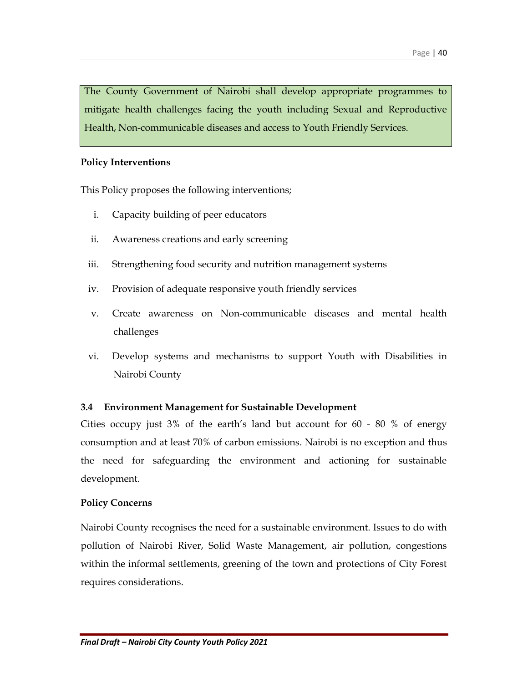The County Government of Nairobi shall develop appropriate programmes to mitigate health challenges facing the youth including Sexual and Reproductive Health, Non-communicable diseases and access to Youth Friendly Services.

#### Policy Interventions

This Policy proposes the following interventions;

- i. Capacity building of peer educators
- ii. Awareness creations and early screening
- iii. Strengthening food security and nutrition management systems
- iv. Provision of adequate responsive youth friendly services
- v. Create awareness on Non-communicable diseases and mental health challenges
- vi. Develop systems and mechanisms to support Youth with Disabilities in Nairobi County

#### 3.4 Environment Management for Sustainable Development

Cities occupy just 3% of the earth's land but account for 60 - 80 % of energy consumption and at least 70% of carbon emissions. Nairobi is no exception and thus the need for safeguarding the environment and actioning for sustainable development.

#### Policy Concerns

Nairobi County recognises the need for a sustainable environment. Issues to do with pollution of Nairobi River, Solid Waste Management, air pollution, congestions within the informal settlements, greening of the town and protections of City Forest requires considerations.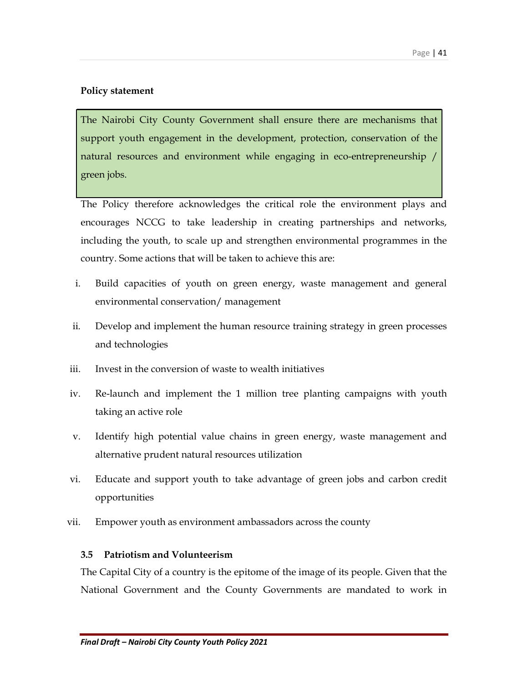## Policy statement

The Nairobi City County Government shall ensure there are mechanisms that support youth engagement in the development, protection, conservation of the natural resources and environment while engaging in eco-entrepreneurship / green jobs.

The Policy therefore acknowledges the critical role the environment plays and encourages NCCG to take leadership in creating partnerships and networks, including the youth, to scale up and strengthen environmental programmes in the country. Some actions that will be taken to achieve this are:

- i. Build capacities of youth on green energy, waste management and general environmental conservation/ management
- ii. Develop and implement the human resource training strategy in green processes and technologies
- iii. Invest in the conversion of waste to wealth initiatives
- iv. Re-launch and implement the 1 million tree planting campaigns with youth taking an active role
- v. Identify high potential value chains in green energy, waste management and alternative prudent natural resources utilization
- vi. Educate and support youth to take advantage of green jobs and carbon credit opportunities
- vii. Empower youth as environment ambassadors across the county

## 3.5 Patriotism and Volunteerism

The Capital City of a country is the epitome of the image of its people. Given that the National Government and the County Governments are mandated to work in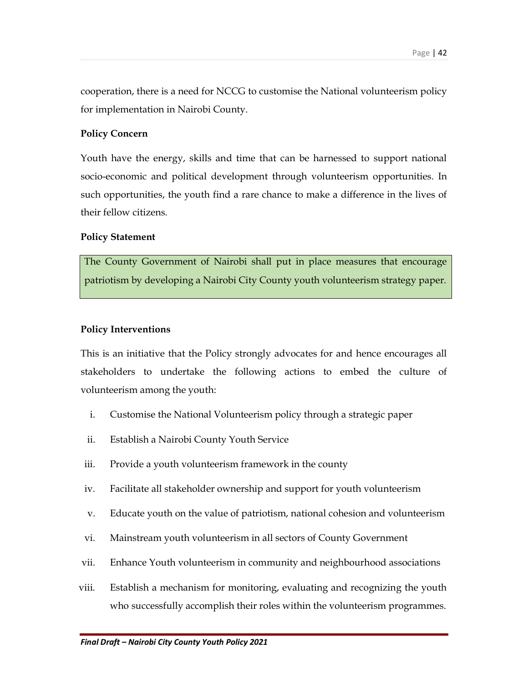cooperation, there is a need for NCCG to customise the National volunteerism policy for implementation in Nairobi County.

#### Policy Concern

Youth have the energy, skills and time that can be harnessed to support national socio-economic and political development through volunteerism opportunities. In such opportunities, the youth find a rare chance to make a difference in the lives of their fellow citizens.

#### Policy Statement

The County Government of Nairobi shall put in place measures that encourage patriotism by developing a Nairobi City County youth volunteerism strategy paper.

#### Policy Interventions

This is an initiative that the Policy strongly advocates for and hence encourages all stakeholders to undertake the following actions to embed the culture of volunteerism among the youth:

- i. Customise the National Volunteerism policy through a strategic paper
- ii. Establish a Nairobi County Youth Service
- iii. Provide a youth volunteerism framework in the county
- iv. Facilitate all stakeholder ownership and support for youth volunteerism
- v. Educate youth on the value of patriotism, national cohesion and volunteerism
- vi. Mainstream youth volunteerism in all sectors of County Government
- vii. Enhance Youth volunteerism in community and neighbourhood associations
- viii. Establish a mechanism for monitoring, evaluating and recognizing the youth who successfully accomplish their roles within the volunteerism programmes.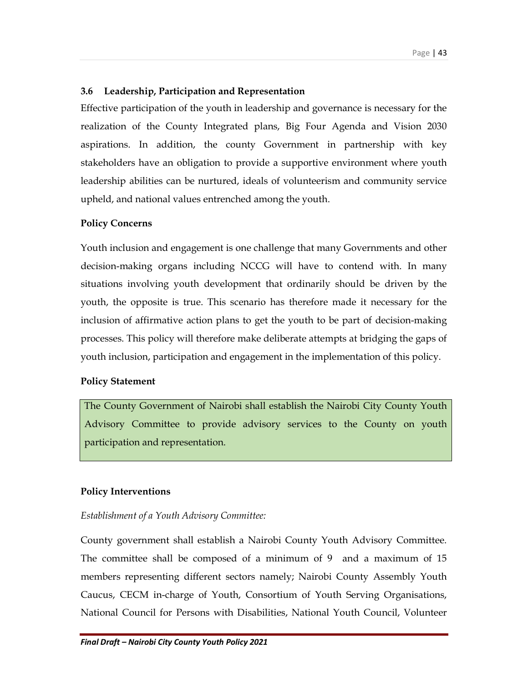## 3.6 Leadership, Participation and Representation

Effective participation of the youth in leadership and governance is necessary for the realization of the County Integrated plans, Big Four Agenda and Vision 2030 aspirations. In addition, the county Government in partnership with key stakeholders have an obligation to provide a supportive environment where youth leadership abilities can be nurtured, ideals of volunteerism and community service upheld, and national values entrenched among the youth.

## Policy Concerns

Youth inclusion and engagement is one challenge that many Governments and other decision-making organs including NCCG will have to contend with. In many situations involving youth development that ordinarily should be driven by the youth, the opposite is true. This scenario has therefore made it necessary for the inclusion of affirmative action plans to get the youth to be part of decision-making processes. This policy will therefore make deliberate attempts at bridging the gaps of youth inclusion, participation and engagement in the implementation of this policy.

## Policy Statement

The County Government of Nairobi shall establish the Nairobi City County Youth Advisory Committee to provide advisory services to the County on youth participation and representation.

## Policy Interventions

## Establishment of a Youth Advisory Committee:

County government shall establish a Nairobi County Youth Advisory Committee. The committee shall be composed of a minimum of 9 and a maximum of 15 members representing different sectors namely; Nairobi County Assembly Youth Caucus, CECM in-charge of Youth, Consortium of Youth Serving Organisations, National Council for Persons with Disabilities, National Youth Council, Volunteer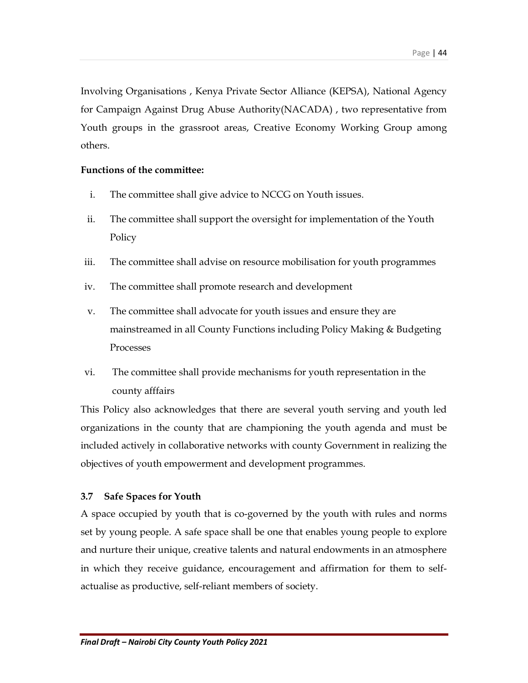Involving Organisations , Kenya Private Sector Alliance (KEPSA), National Agency for Campaign Against Drug Abuse Authority(NACADA) , two representative from Youth groups in the grassroot areas, Creative Economy Working Group among others.

## Functions of the committee:

- i. The committee shall give advice to NCCG on Youth issues.
- ii. The committee shall support the oversight for implementation of the Youth Policy
- iii. The committee shall advise on resource mobilisation for youth programmes
- iv. The committee shall promote research and development
- v. The committee shall advocate for youth issues and ensure they are mainstreamed in all County Functions including Policy Making & Budgeting Processes
- vi. The committee shall provide mechanisms for youth representation in the county afffairs

This Policy also acknowledges that there are several youth serving and youth led organizations in the county that are championing the youth agenda and must be included actively in collaborative networks with county Government in realizing the objectives of youth empowerment and development programmes.

## 3.7 Safe Spaces for Youth

A space occupied by youth that is co-governed by the youth with rules and norms set by young people. A safe space shall be one that enables young people to explore and nurture their unique, creative talents and natural endowments in an atmosphere in which they receive guidance, encouragement and affirmation for them to selfactualise as productive, self-reliant members of society.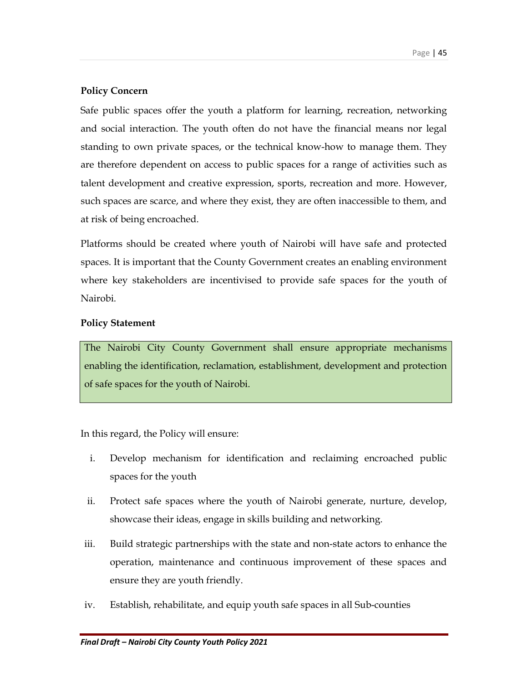## Policy Concern

Safe public spaces offer the youth a platform for learning, recreation, networking and social interaction. The youth often do not have the financial means nor legal standing to own private spaces, or the technical know-how to manage them. They are therefore dependent on access to public spaces for a range of activities such as talent development and creative expression, sports, recreation and more. However, such spaces are scarce, and where they exist, they are often inaccessible to them, and at risk of being encroached.

Platforms should be created where youth of Nairobi will have safe and protected spaces. It is important that the County Government creates an enabling environment where key stakeholders are incentivised to provide safe spaces for the youth of Nairobi.

## Policy Statement

The Nairobi City County Government shall ensure appropriate mechanisms enabling the identification, reclamation, establishment, development and protection of safe spaces for the youth of Nairobi.

In this regard, the Policy will ensure:

- i. Develop mechanism for identification and reclaiming encroached public spaces for the youth
- ii. Protect safe spaces where the youth of Nairobi generate, nurture, develop, showcase their ideas, engage in skills building and networking.
- iii. Build strategic partnerships with the state and non-state actors to enhance the operation, maintenance and continuous improvement of these spaces and ensure they are youth friendly.
- iv. Establish, rehabilitate, and equip youth safe spaces in all Sub-counties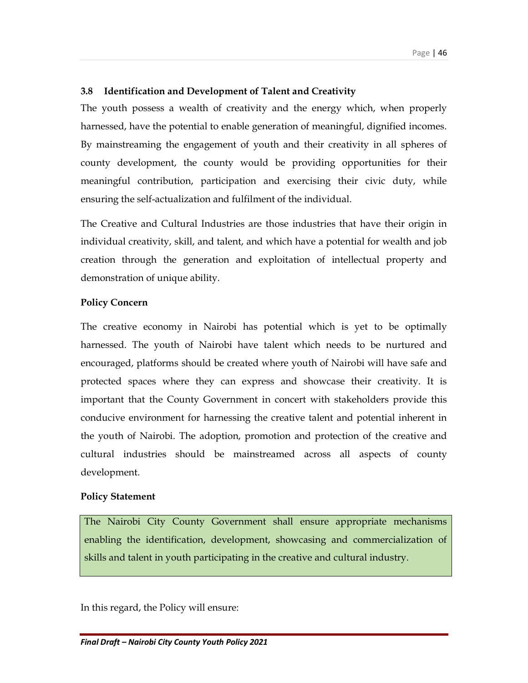## 3.8 Identification and Development of Talent and Creativity

The youth possess a wealth of creativity and the energy which, when properly harnessed, have the potential to enable generation of meaningful, dignified incomes. By mainstreaming the engagement of youth and their creativity in all spheres of county development, the county would be providing opportunities for their meaningful contribution, participation and exercising their civic duty, while ensuring the self-actualization and fulfilment of the individual.

The Creative and Cultural Industries are those industries that have their origin in individual creativity, skill, and talent, and which have a potential for wealth and job creation through the generation and exploitation of intellectual property and demonstration of unique ability.

#### Policy Concern

The creative economy in Nairobi has potential which is yet to be optimally harnessed. The youth of Nairobi have talent which needs to be nurtured and encouraged, platforms should be created where youth of Nairobi will have safe and protected spaces where they can express and showcase their creativity. It is important that the County Government in concert with stakeholders provide this conducive environment for harnessing the creative talent and potential inherent in the youth of Nairobi. The adoption, promotion and protection of the creative and cultural industries should be mainstreamed across all aspects of county development.

#### Policy Statement

The Nairobi City County Government shall ensure appropriate mechanisms enabling the identification, development, showcasing and commercialization of skills and talent in youth participating in the creative and cultural industry.

In this regard, the Policy will ensure: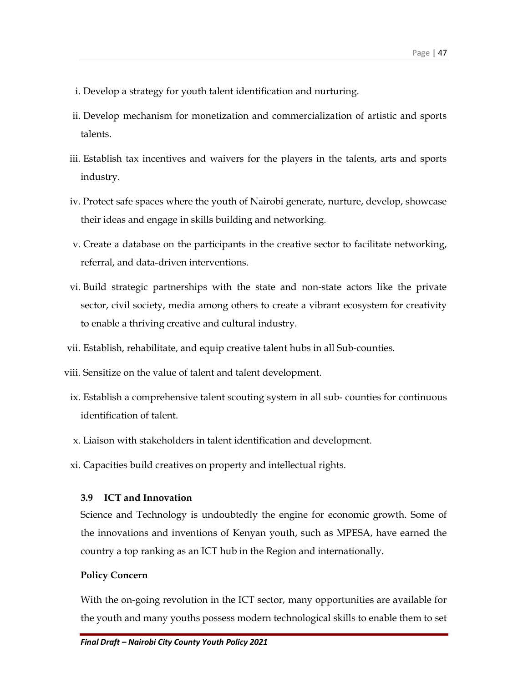- i. Develop a strategy for youth talent identification and nurturing.
- ii. Develop mechanism for monetization and commercialization of artistic and sports talents.
- iii. Establish tax incentives and waivers for the players in the talents, arts and sports industry.
- iv. Protect safe spaces where the youth of Nairobi generate, nurture, develop, showcase their ideas and engage in skills building and networking.
- v. Create a database on the participants in the creative sector to facilitate networking, referral, and data-driven interventions.
- vi. Build strategic partnerships with the state and non-state actors like the private sector, civil society, media among others to create a vibrant ecosystem for creativity to enable a thriving creative and cultural industry.
- vii. Establish, rehabilitate, and equip creative talent hubs in all Sub-counties.
- viii. Sensitize on the value of talent and talent development.
	- ix. Establish a comprehensive talent scouting system in all sub- counties for continuous identification of talent.
	- x. Liaison with stakeholders in talent identification and development.
	- xi. Capacities build creatives on property and intellectual rights.

#### 3.9 ICT and Innovation

Science and Technology is undoubtedly the engine for economic growth. Some of the innovations and inventions of Kenyan youth, such as MPESA, have earned the country a top ranking as an ICT hub in the Region and internationally.

#### Policy Concern

With the on-going revolution in the ICT sector, many opportunities are available for the youth and many youths possess modern technological skills to enable them to set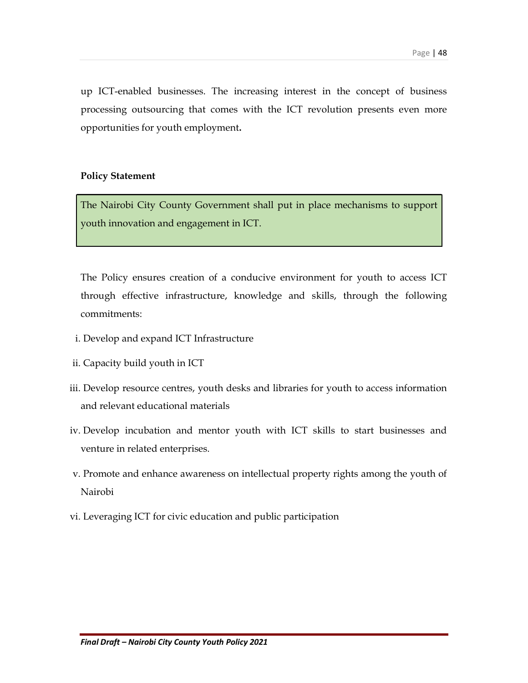up ICT-enabled businesses. The increasing interest in the concept of business processing outsourcing that comes with the ICT revolution presents even more opportunities for youth employment.

#### Policy Statement

The Nairobi City County Government shall put in place mechanisms to support youth innovation and engagement in ICT.

The Policy ensures creation of a conducive environment for youth to access ICT through effective infrastructure, knowledge and skills, through the following commitments:

- i. Develop and expand ICT Infrastructure
- ii. Capacity build youth in ICT
- iii. Develop resource centres, youth desks and libraries for youth to access information and relevant educational materials
- iv. Develop incubation and mentor youth with ICT skills to start businesses and venture in related enterprises.
- v. Promote and enhance awareness on intellectual property rights among the youth of Nairobi
- vi. Leveraging ICT for civic education and public participation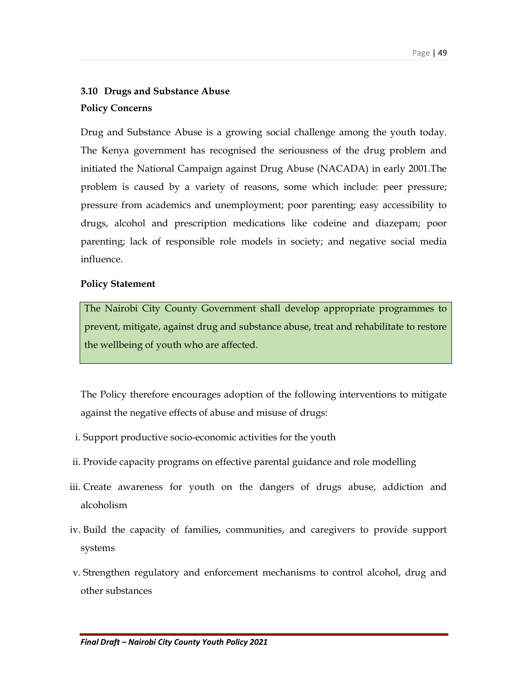# 3.10 Drugs and Substance Abuse Policy Concerns

Drug and Substance Abuse is a growing social challenge among the youth today. The Kenya government has recognised the seriousness of the drug problem and initiated the National Campaign against Drug Abuse (NACADA) in early 2001.The problem is caused by a variety of reasons, some which include: peer pressure; pressure from academics and unemployment; poor parenting; easy accessibility to drugs, alcohol and prescription medications like codeine and diazepam; poor parenting; lack of responsible role models in society; and negative social media influence.

### Policy Statement

The Nairobi City County Government shall develop appropriate programmes to prevent, mitigate, against drug and substance abuse, treat and rehabilitate to restore the wellbeing of youth who are affected.

The Policy therefore encourages adoption of the following interventions to mitigate against the negative effects of abuse and misuse of drugs:

- i. Support productive socio-economic activities for the youth
- ii. Provide capacity programs on effective parental guidance and role modelling
- iii. Create awareness for youth on the dangers of drugs abuse, addiction and alcoholism
- iv. Build the capacity of families, communities, and caregivers to provide support systems
- v. Strengthen regulatory and enforcement mechanisms to control alcohol, drug and other substances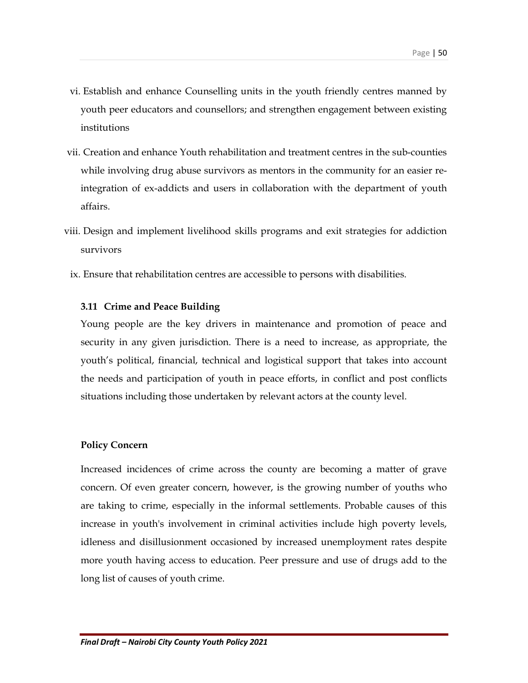- vi. Establish and enhance Counselling units in the youth friendly centres manned by youth peer educators and counsellors; and strengthen engagement between existing institutions
- vii. Creation and enhance Youth rehabilitation and treatment centres in the sub-counties while involving drug abuse survivors as mentors in the community for an easier reintegration of ex-addicts and users in collaboration with the department of youth affairs.
- viii. Design and implement livelihood skills programs and exit strategies for addiction survivors
	- ix. Ensure that rehabilitation centres are accessible to persons with disabilities.

### 3.11 Crime and Peace Building

Young people are the key drivers in maintenance and promotion of peace and security in any given jurisdiction. There is a need to increase, as appropriate, the youth's political, financial, technical and logistical support that takes into account the needs and participation of youth in peace efforts, in conflict and post conflicts situations including those undertaken by relevant actors at the county level.

#### Policy Concern

Increased incidences of crime across the county are becoming a matter of grave concern. Of even greater concern, however, is the growing number of youths who are taking to crime, especially in the informal settlements. Probable causes of this increase in youth's involvement in criminal activities include high poverty levels, idleness and disillusionment occasioned by increased unemployment rates despite more youth having access to education. Peer pressure and use of drugs add to the long list of causes of youth crime.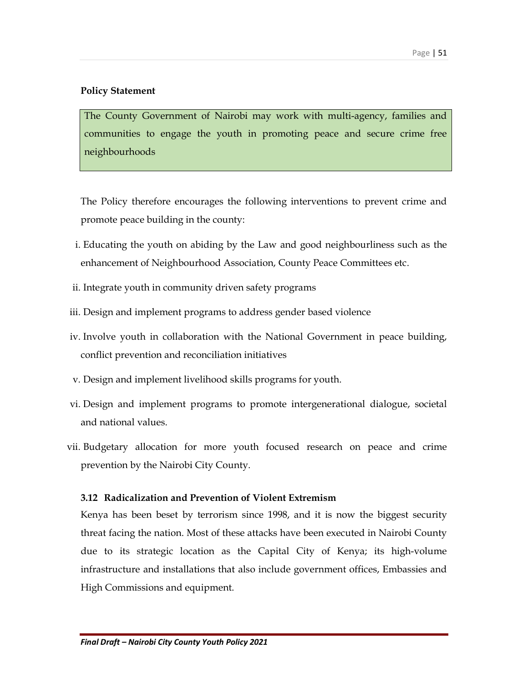## Policy Statement

The County Government of Nairobi may work with multi-agency, families and communities to engage the youth in promoting peace and secure crime free neighbourhoods

The Policy therefore encourages the following interventions to prevent crime and promote peace building in the county:

- i. Educating the youth on abiding by the Law and good neighbourliness such as the enhancement of Neighbourhood Association, County Peace Committees etc.
- ii. Integrate youth in community driven safety programs
- iii. Design and implement programs to address gender based violence
- iv. Involve youth in collaboration with the National Government in peace building, conflict prevention and reconciliation initiatives
- v. Design and implement livelihood skills programs for youth.
- vi. Design and implement programs to promote intergenerational dialogue, societal and national values.
- vii. Budgetary allocation for more youth focused research on peace and crime prevention by the Nairobi City County.

#### 3.12 Radicalization and Prevention of Violent Extremism

Kenya has been beset by terrorism since 1998, and it is now the biggest security threat facing the nation. Most of these attacks have been executed in Nairobi County due to its strategic location as the Capital City of Kenya; its high-volume infrastructure and installations that also include government offices, Embassies and High Commissions and equipment.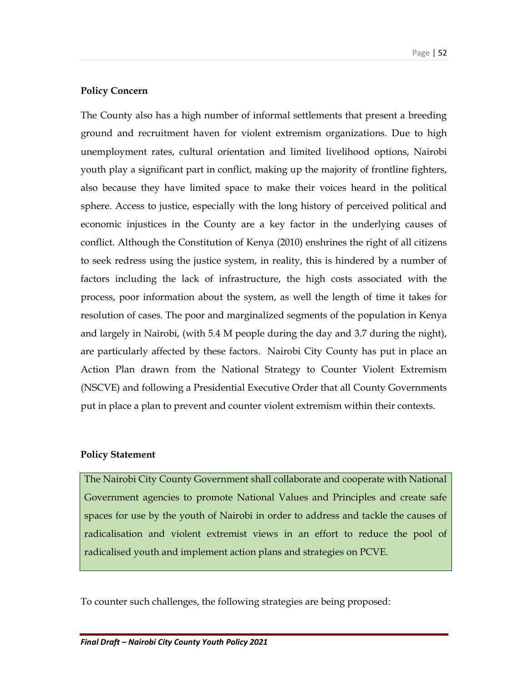## Policy Concern

The County also has a high number of informal settlements that present a breeding ground and recruitment haven for violent extremism organizations. Due to high unemployment rates, cultural orientation and limited livelihood options, Nairobi youth play a significant part in conflict, making up the majority of frontline fighters, also because they have limited space to make their voices heard in the political sphere. Access to justice, especially with the long history of perceived political and economic injustices in the County are a key factor in the underlying causes of conflict. Although the Constitution of Kenya (2010) enshrines the right of all citizens to seek redress using the justice system, in reality, this is hindered by a number of factors including the lack of infrastructure, the high costs associated with the process, poor information about the system, as well the length of time it takes for resolution of cases. The poor and marginalized segments of the population in Kenya and largely in Nairobi, (with 5.4 M people during the day and 3.7 during the night), are particularly affected by these factors. Nairobi City County has put in place an Action Plan drawn from the National Strategy to Counter Violent Extremism (NSCVE) and following a Presidential Executive Order that all County Governments put in place a plan to prevent and counter violent extremism within their contexts.

#### Policy Statement

The Nairobi City County Government shall collaborate and cooperate with National Government agencies to promote National Values and Principles and create safe spaces for use by the youth of Nairobi in order to address and tackle the causes of radicalisation and violent extremist views in an effort to reduce the pool of radicalised youth and implement action plans and strategies on PCVE.

To counter such challenges, the following strategies are being proposed: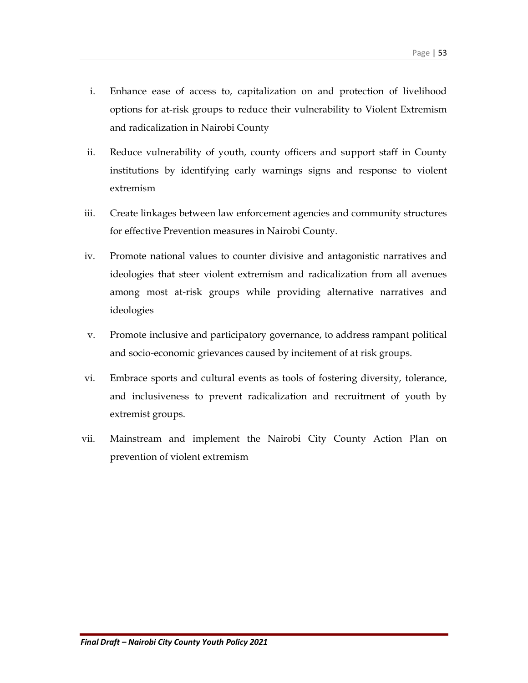- i. Enhance ease of access to, capitalization on and protection of livelihood options for at-risk groups to reduce their vulnerability to Violent Extremism and radicalization in Nairobi County
- ii. Reduce vulnerability of youth, county officers and support staff in County institutions by identifying early warnings signs and response to violent extremism
- iii. Create linkages between law enforcement agencies and community structures for effective Prevention measures in Nairobi County.
- iv. Promote national values to counter divisive and antagonistic narratives and ideologies that steer violent extremism and radicalization from all avenues among most at-risk groups while providing alternative narratives and ideologies
- v. Promote inclusive and participatory governance, to address rampant political and socio-economic grievances caused by incitement of at risk groups.
- vi. Embrace sports and cultural events as tools of fostering diversity, tolerance, and inclusiveness to prevent radicalization and recruitment of youth by extremist groups.
- vii. Mainstream and implement the Nairobi City County Action Plan on prevention of violent extremism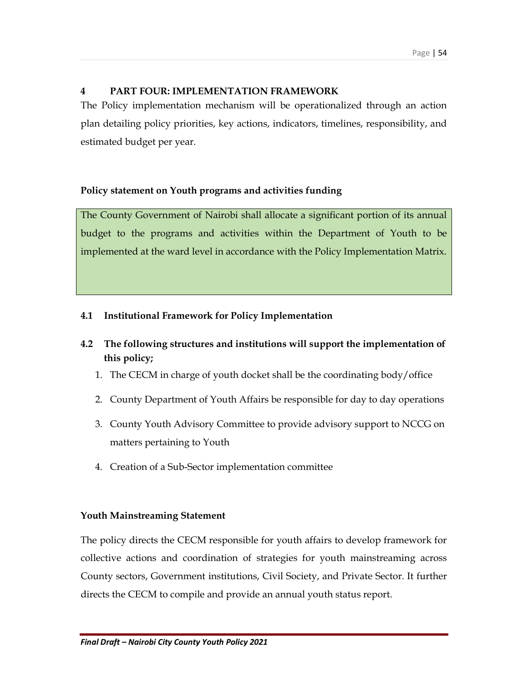## 4 PART FOUR: IMPLEMENTATION FRAMEWORK

The Policy implementation mechanism will be operationalized through an action plan detailing policy priorities, key actions, indicators, timelines, responsibility, and estimated budget per year.

## Policy statement on Youth programs and activities funding

The County Government of Nairobi shall allocate a significant portion of its annual budget to the programs and activities within the Department of Youth to be implemented at the ward level in accordance with the Policy Implementation Matrix.

## 4.1 Institutional Framework for Policy Implementation

- 4.2 The following structures and institutions will support the implementation of this policy;
	- 1. The CECM in charge of youth docket shall be the coordinating body/office
	- 2. County Department of Youth Affairs be responsible for day to day operations
	- 3. County Youth Advisory Committee to provide advisory support to NCCG on matters pertaining to Youth
	- 4. Creation of a Sub-Sector implementation committee

## Youth Mainstreaming Statement

The policy directs the CECM responsible for youth affairs to develop framework for collective actions and coordination of strategies for youth mainstreaming across County sectors, Government institutions, Civil Society, and Private Sector. It further directs the CECM to compile and provide an annual youth status report.